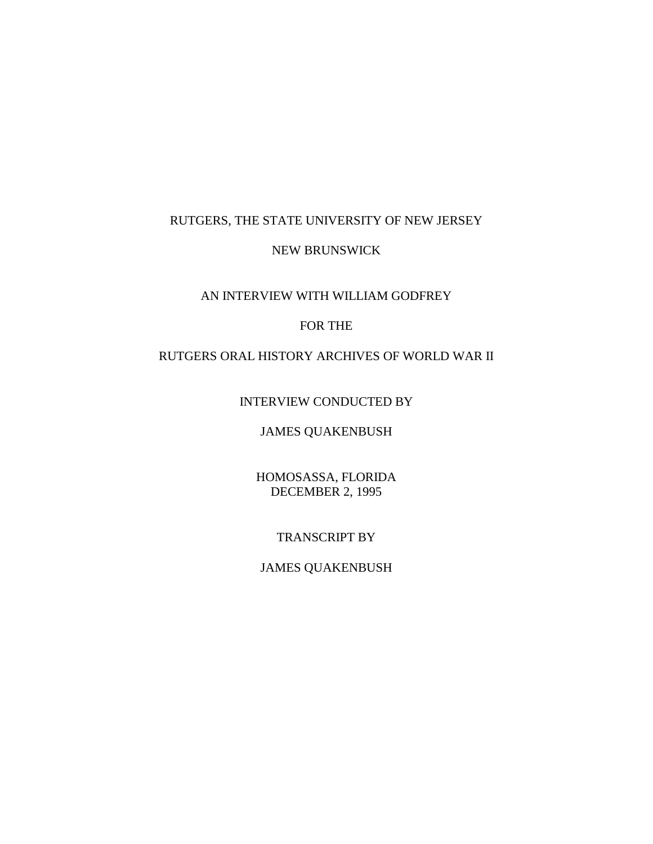### RUTGERS, THE STATE UNIVERSITY OF NEW JERSEY

#### NEW BRUNSWICK

## AN INTERVIEW WITH WILLIAM GODFREY

## FOR THE

### RUTGERS ORAL HISTORY ARCHIVES OF WORLD WAR II

INTERVIEW CONDUCTED BY

## JAMES QUAKENBUSH

HOMOSASSA, FLORIDA DECEMBER 2, 1995

### TRANSCRIPT BY

# JAMES QUAKENBUSH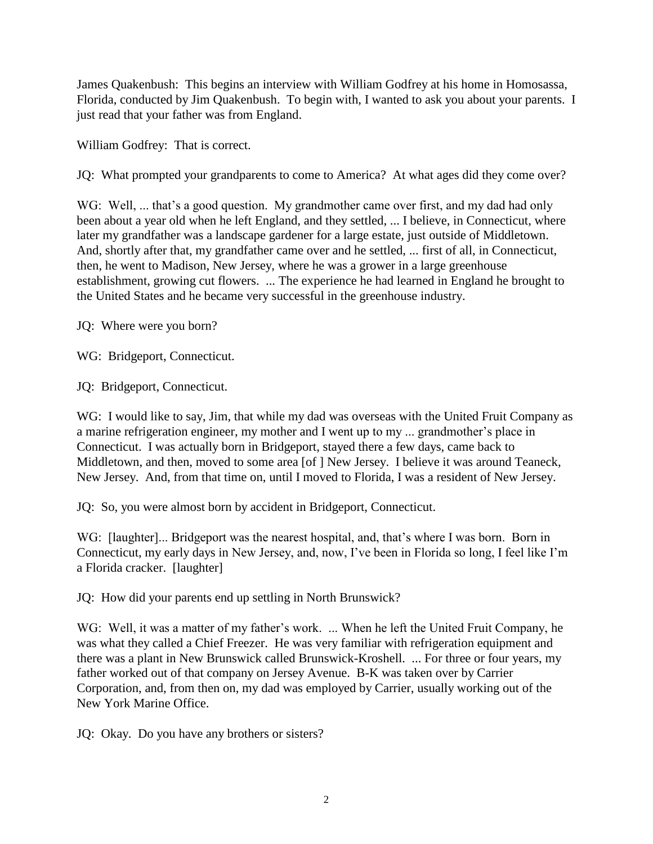James Quakenbush: This begins an interview with William Godfrey at his home in Homosassa, Florida, conducted by Jim Quakenbush. To begin with, I wanted to ask you about your parents. I just read that your father was from England.

William Godfrey: That is correct.

JQ: What prompted your grandparents to come to America? At what ages did they come over?

WG: Well, ... that's a good question. My grandmother came over first, and my dad had only been about a year old when he left England, and they settled, ... I believe, in Connecticut, where later my grandfather was a landscape gardener for a large estate, just outside of Middletown. And, shortly after that, my grandfather came over and he settled, ... first of all, in Connecticut, then, he went to Madison, New Jersey, where he was a grower in a large greenhouse establishment, growing cut flowers. ... The experience he had learned in England he brought to the United States and he became very successful in the greenhouse industry.

JQ: Where were you born?

WG: Bridgeport, Connecticut.

JQ: Bridgeport, Connecticut.

WG: I would like to say, Jim, that while my dad was overseas with the United Fruit Company as a marine refrigeration engineer, my mother and I went up to my ... grandmother's place in Connecticut. I was actually born in Bridgeport, stayed there a few days, came back to Middletown, and then, moved to some area [of ] New Jersey. I believe it was around Teaneck, New Jersey. And, from that time on, until I moved to Florida, I was a resident of New Jersey.

JQ: So, you were almost born by accident in Bridgeport, Connecticut.

WG: [laughter]... Bridgeport was the nearest hospital, and, that's where I was born. Born in Connecticut, my early days in New Jersey, and, now, I've been in Florida so long, I feel like I'm a Florida cracker. [laughter]

JQ: How did your parents end up settling in North Brunswick?

WG: Well, it was a matter of my father's work. ... When he left the United Fruit Company, he was what they called a Chief Freezer. He was very familiar with refrigeration equipment and there was a plant in New Brunswick called Brunswick-Kroshell. ... For three or four years, my father worked out of that company on Jersey Avenue. B-K was taken over by Carrier Corporation, and, from then on, my dad was employed by Carrier, usually working out of the New York Marine Office.

JQ: Okay. Do you have any brothers or sisters?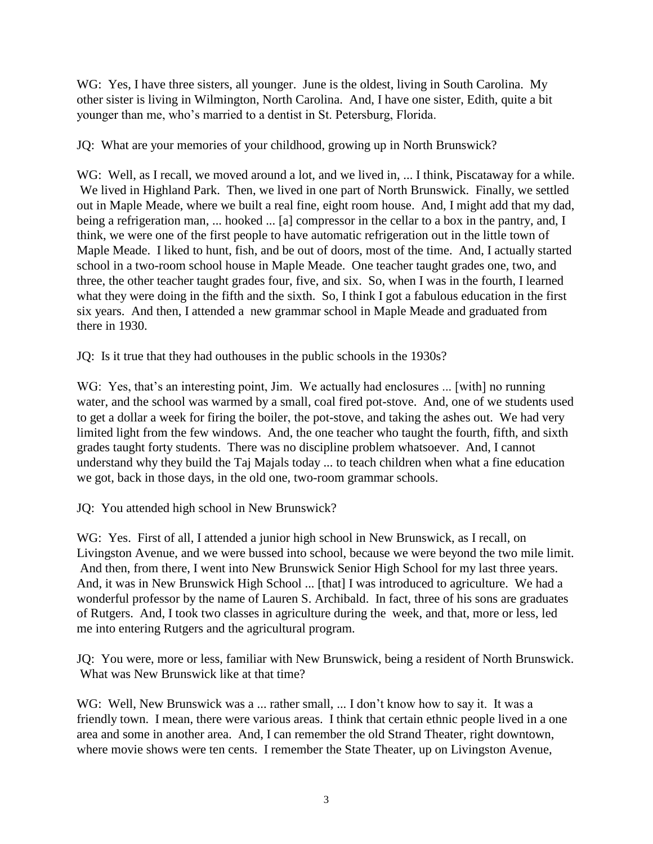WG: Yes, I have three sisters, all younger. June is the oldest, living in South Carolina. My other sister is living in Wilmington, North Carolina. And, I have one sister, Edith, quite a bit younger than me, who's married to a dentist in St. Petersburg, Florida.

JQ: What are your memories of your childhood, growing up in North Brunswick?

WG: Well, as I recall, we moved around a lot, and we lived in, ... I think, Piscataway for a while. We lived in Highland Park. Then, we lived in one part of North Brunswick. Finally, we settled out in Maple Meade, where we built a real fine, eight room house. And, I might add that my dad, being a refrigeration man, ... hooked ... [a] compressor in the cellar to a box in the pantry, and, I think, we were one of the first people to have automatic refrigeration out in the little town of Maple Meade. I liked to hunt, fish, and be out of doors, most of the time. And, I actually started school in a two-room school house in Maple Meade. One teacher taught grades one, two, and three, the other teacher taught grades four, five, and six. So, when I was in the fourth, I learned what they were doing in the fifth and the sixth. So, I think I got a fabulous education in the first six years. And then, I attended a new grammar school in Maple Meade and graduated from there in 1930.

JQ: Is it true that they had outhouses in the public schools in the 1930s?

WG: Yes, that's an interesting point, Jim. We actually had enclosures ... [with] no running water, and the school was warmed by a small, coal fired pot-stove. And, one of we students used to get a dollar a week for firing the boiler, the pot-stove, and taking the ashes out. We had very limited light from the few windows. And, the one teacher who taught the fourth, fifth, and sixth grades taught forty students. There was no discipline problem whatsoever. And, I cannot understand why they build the Taj Majals today ... to teach children when what a fine education we got, back in those days, in the old one, two-room grammar schools.

JQ: You attended high school in New Brunswick?

WG: Yes. First of all, I attended a junior high school in New Brunswick, as I recall, on Livingston Avenue, and we were bussed into school, because we were beyond the two mile limit. And then, from there, I went into New Brunswick Senior High School for my last three years. And, it was in New Brunswick High School ... [that] I was introduced to agriculture. We had a wonderful professor by the name of Lauren S. Archibald. In fact, three of his sons are graduates of Rutgers. And, I took two classes in agriculture during the week, and that, more or less, led me into entering Rutgers and the agricultural program.

JQ: You were, more or less, familiar with New Brunswick, being a resident of North Brunswick. What was New Brunswick like at that time?

WG: Well, New Brunswick was a ... rather small, ... I don't know how to say it. It was a friendly town. I mean, there were various areas. I think that certain ethnic people lived in a one area and some in another area. And, I can remember the old Strand Theater, right downtown, where movie shows were ten cents. I remember the State Theater, up on Livingston Avenue,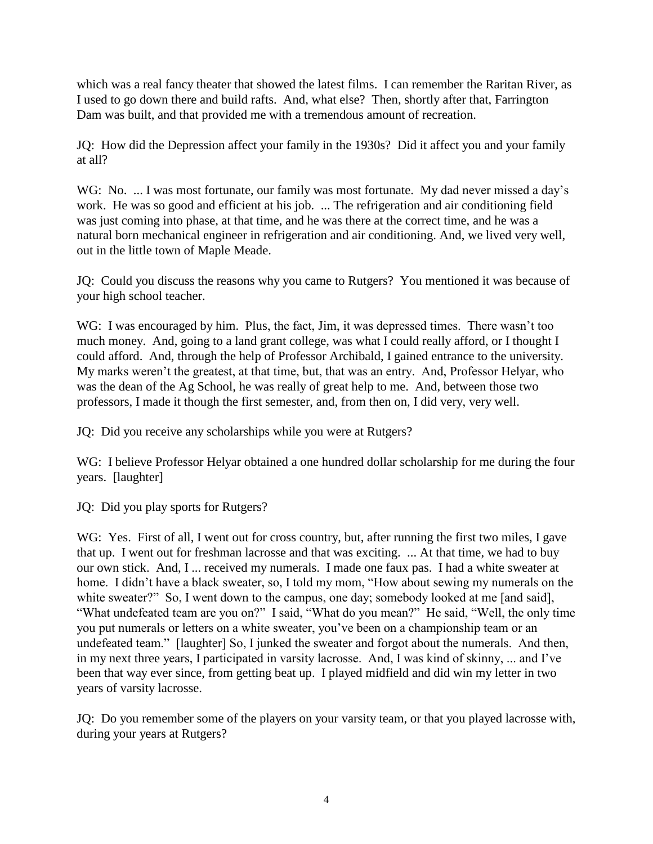which was a real fancy theater that showed the latest films. I can remember the Raritan River, as I used to go down there and build rafts. And, what else? Then, shortly after that, Farrington Dam was built, and that provided me with a tremendous amount of recreation.

JQ: How did the Depression affect your family in the 1930s? Did it affect you and your family at all?

WG: No. ... I was most fortunate, our family was most fortunate. My dad never missed a day's work. He was so good and efficient at his job. ... The refrigeration and air conditioning field was just coming into phase, at that time, and he was there at the correct time, and he was a natural born mechanical engineer in refrigeration and air conditioning. And, we lived very well, out in the little town of Maple Meade.

JQ: Could you discuss the reasons why you came to Rutgers? You mentioned it was because of your high school teacher.

WG: I was encouraged by him. Plus, the fact, Jim, it was depressed times. There wasn't too much money. And, going to a land grant college, was what I could really afford, or I thought I could afford. And, through the help of Professor Archibald, I gained entrance to the university. My marks weren't the greatest, at that time, but, that was an entry. And, Professor Helyar, who was the dean of the Ag School, he was really of great help to me. And, between those two professors, I made it though the first semester, and, from then on, I did very, very well.

JQ: Did you receive any scholarships while you were at Rutgers?

WG: I believe Professor Helyar obtained a one hundred dollar scholarship for me during the four years. [laughter]

JQ: Did you play sports for Rutgers?

WG: Yes. First of all, I went out for cross country, but, after running the first two miles, I gave that up. I went out for freshman lacrosse and that was exciting. ... At that time, we had to buy our own stick. And, I ... received my numerals. I made one faux pas. I had a white sweater at home. I didn't have a black sweater, so, I told my mom, "How about sewing my numerals on the white sweater?" So, I went down to the campus, one day; somebody looked at me [and said], "What undefeated team are you on?" I said, "What do you mean?" He said, "Well, the only time you put numerals or letters on a white sweater, you've been on a championship team or an undefeated team." [laughter] So, I junked the sweater and forgot about the numerals. And then, in my next three years, I participated in varsity lacrosse. And, I was kind of skinny, ... and I've been that way ever since, from getting beat up. I played midfield and did win my letter in two years of varsity lacrosse.

JQ: Do you remember some of the players on your varsity team, or that you played lacrosse with, during your years at Rutgers?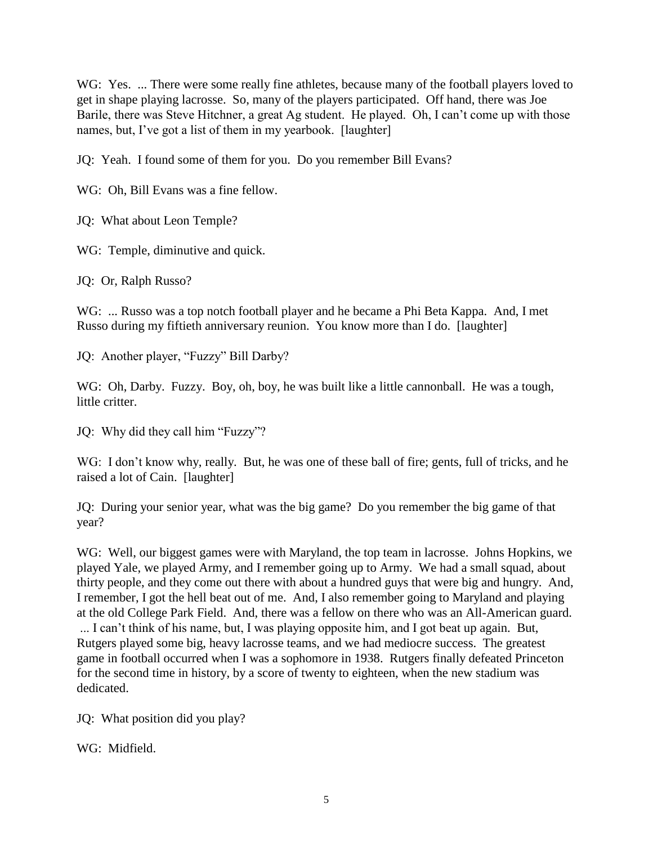WG: Yes. ... There were some really fine athletes, because many of the football players loved to get in shape playing lacrosse. So, many of the players participated. Off hand, there was Joe Barile, there was Steve Hitchner, a great Ag student. He played. Oh, I can't come up with those names, but, I've got a list of them in my yearbook. [laughter]

JQ: Yeah. I found some of them for you. Do you remember Bill Evans?

WG: Oh, Bill Evans was a fine fellow.

JQ: What about Leon Temple?

WG: Temple, diminutive and quick.

JQ: Or, Ralph Russo?

WG: ... Russo was a top notch football player and he became a Phi Beta Kappa. And, I met Russo during my fiftieth anniversary reunion. You know more than I do. [laughter]

JQ: Another player, "Fuzzy" Bill Darby?

WG: Oh, Darby. Fuzzy. Boy, oh, boy, he was built like a little cannonball. He was a tough, little critter.

JQ: Why did they call him "Fuzzy"?

WG: I don't know why, really. But, he was one of these ball of fire; gents, full of tricks, and he raised a lot of Cain. [laughter]

JQ: During your senior year, what was the big game? Do you remember the big game of that year?

WG: Well, our biggest games were with Maryland, the top team in lacrosse. Johns Hopkins, we played Yale, we played Army, and I remember going up to Army. We had a small squad, about thirty people, and they come out there with about a hundred guys that were big and hungry. And, I remember, I got the hell beat out of me. And, I also remember going to Maryland and playing at the old College Park Field. And, there was a fellow on there who was an All-American guard. ... I can't think of his name, but, I was playing opposite him, and I got beat up again. But, Rutgers played some big, heavy lacrosse teams, and we had mediocre success. The greatest game in football occurred when I was a sophomore in 1938. Rutgers finally defeated Princeton for the second time in history, by a score of twenty to eighteen, when the new stadium was dedicated.

JQ: What position did you play?

WG: Midfield.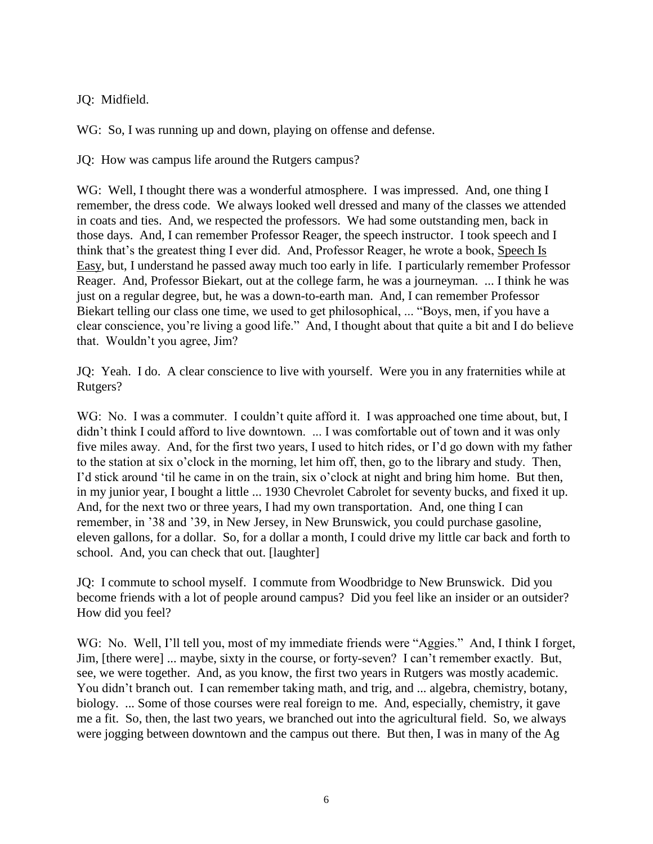JQ: Midfield.

WG: So, I was running up and down, playing on offense and defense.

JQ: How was campus life around the Rutgers campus?

WG: Well, I thought there was a wonderful atmosphere. I was impressed. And, one thing I remember, the dress code. We always looked well dressed and many of the classes we attended in coats and ties. And, we respected the professors. We had some outstanding men, back in those days. And, I can remember Professor Reager, the speech instructor. I took speech and I think that's the greatest thing I ever did. And, Professor Reager, he wrote a book, Speech Is Easy, but, I understand he passed away much too early in life. I particularly remember Professor Reager. And, Professor Biekart, out at the college farm, he was a journeyman. ... I think he was just on a regular degree, but, he was a down-to-earth man. And, I can remember Professor Biekart telling our class one time, we used to get philosophical, ... "Boys, men, if you have a clear conscience, you're living a good life." And, I thought about that quite a bit and I do believe that. Wouldn't you agree, Jim?

JQ: Yeah. I do. A clear conscience to live with yourself. Were you in any fraternities while at Rutgers?

WG: No. I was a commuter. I couldn't quite afford it. I was approached one time about, but, I didn't think I could afford to live downtown. ... I was comfortable out of town and it was only five miles away. And, for the first two years, I used to hitch rides, or I'd go down with my father to the station at six o'clock in the morning, let him off, then, go to the library and study. Then, I'd stick around 'til he came in on the train, six o'clock at night and bring him home. But then, in my junior year, I bought a little ... 1930 Chevrolet Cabrolet for seventy bucks, and fixed it up. And, for the next two or three years, I had my own transportation. And, one thing I can remember, in '38 and '39, in New Jersey, in New Brunswick, you could purchase gasoline, eleven gallons, for a dollar. So, for a dollar a month, I could drive my little car back and forth to school. And, you can check that out. [laughter]

JQ: I commute to school myself. I commute from Woodbridge to New Brunswick. Did you become friends with a lot of people around campus? Did you feel like an insider or an outsider? How did you feel?

WG: No. Well, I'll tell you, most of my immediate friends were "Aggies." And, I think I forget, Jim, [there were] ... maybe, sixty in the course, or forty-seven? I can't remember exactly. But, see, we were together. And, as you know, the first two years in Rutgers was mostly academic. You didn't branch out. I can remember taking math, and trig, and ... algebra, chemistry, botany, biology. ... Some of those courses were real foreign to me. And, especially, chemistry, it gave me a fit. So, then, the last two years, we branched out into the agricultural field. So, we always were jogging between downtown and the campus out there. But then, I was in many of the Ag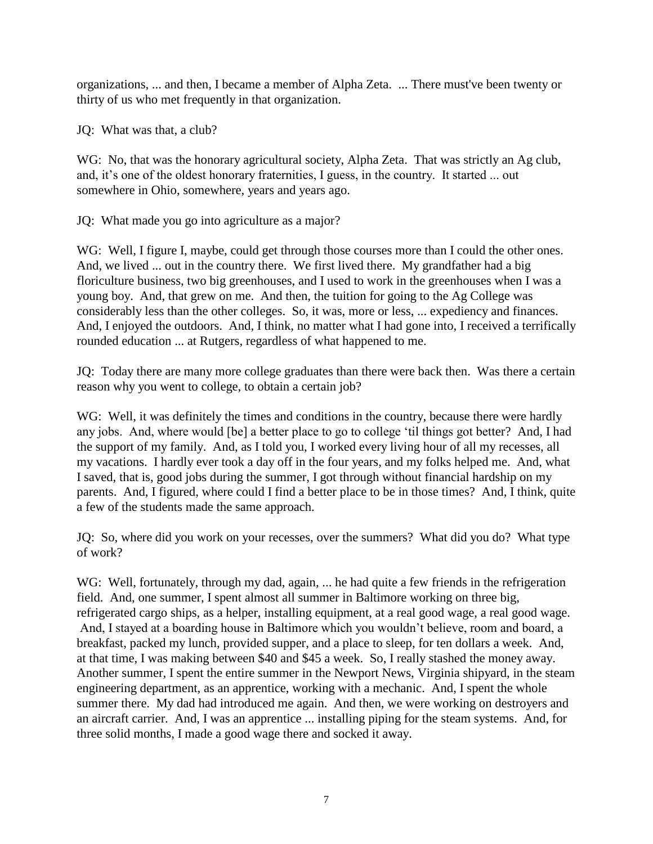organizations, ... and then, I became a member of Alpha Zeta. ... There must've been twenty or thirty of us who met frequently in that organization.

JQ: What was that, a club?

WG: No, that was the honorary agricultural society, Alpha Zeta. That was strictly an Ag club, and, it's one of the oldest honorary fraternities, I guess, in the country. It started ... out somewhere in Ohio, somewhere, years and years ago.

JQ: What made you go into agriculture as a major?

WG: Well, I figure I, maybe, could get through those courses more than I could the other ones. And, we lived ... out in the country there. We first lived there. My grandfather had a big floriculture business, two big greenhouses, and I used to work in the greenhouses when I was a young boy. And, that grew on me. And then, the tuition for going to the Ag College was considerably less than the other colleges. So, it was, more or less, ... expediency and finances. And, I enjoyed the outdoors. And, I think, no matter what I had gone into, I received a terrifically rounded education ... at Rutgers, regardless of what happened to me.

JQ: Today there are many more college graduates than there were back then. Was there a certain reason why you went to college, to obtain a certain job?

WG: Well, it was definitely the times and conditions in the country, because there were hardly any jobs. And, where would [be] a better place to go to college 'til things got better? And, I had the support of my family. And, as I told you, I worked every living hour of all my recesses, all my vacations. I hardly ever took a day off in the four years, and my folks helped me. And, what I saved, that is, good jobs during the summer, I got through without financial hardship on my parents. And, I figured, where could I find a better place to be in those times? And, I think, quite a few of the students made the same approach.

JQ: So, where did you work on your recesses, over the summers? What did you do? What type of work?

WG: Well, fortunately, through my dad, again, ... he had quite a few friends in the refrigeration field. And, one summer, I spent almost all summer in Baltimore working on three big, refrigerated cargo ships, as a helper, installing equipment, at a real good wage, a real good wage. And, I stayed at a boarding house in Baltimore which you wouldn't believe, room and board, a breakfast, packed my lunch, provided supper, and a place to sleep, for ten dollars a week. And, at that time, I was making between \$40 and \$45 a week. So, I really stashed the money away. Another summer, I spent the entire summer in the Newport News, Virginia shipyard, in the steam engineering department, as an apprentice, working with a mechanic. And, I spent the whole summer there. My dad had introduced me again. And then, we were working on destroyers and an aircraft carrier. And, I was an apprentice ... installing piping for the steam systems. And, for three solid months, I made a good wage there and socked it away.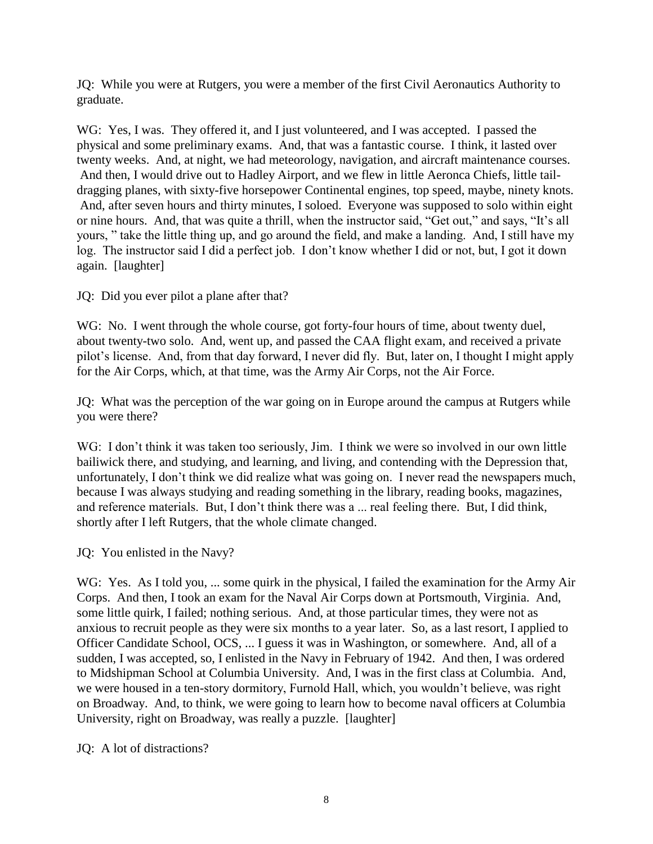JQ: While you were at Rutgers, you were a member of the first Civil Aeronautics Authority to graduate.

WG: Yes, I was. They offered it, and I just volunteered, and I was accepted. I passed the physical and some preliminary exams. And, that was a fantastic course. I think, it lasted over twenty weeks. And, at night, we had meteorology, navigation, and aircraft maintenance courses. And then, I would drive out to Hadley Airport, and we flew in little Aeronca Chiefs, little taildragging planes, with sixty-five horsepower Continental engines, top speed, maybe, ninety knots. And, after seven hours and thirty minutes, I soloed. Everyone was supposed to solo within eight or nine hours. And, that was quite a thrill, when the instructor said, "Get out," and says, "It's all yours, " take the little thing up, and go around the field, and make a landing. And, I still have my log. The instructor said I did a perfect job. I don't know whether I did or not, but, I got it down again. [laughter]

JQ: Did you ever pilot a plane after that?

WG: No. I went through the whole course, got forty-four hours of time, about twenty duel, about twenty-two solo. And, went up, and passed the CAA flight exam, and received a private pilot's license. And, from that day forward, I never did fly. But, later on, I thought I might apply for the Air Corps, which, at that time, was the Army Air Corps, not the Air Force.

JQ: What was the perception of the war going on in Europe around the campus at Rutgers while you were there?

WG: I don't think it was taken too seriously, Jim. I think we were so involved in our own little bailiwick there, and studying, and learning, and living, and contending with the Depression that, unfortunately, I don't think we did realize what was going on. I never read the newspapers much, because I was always studying and reading something in the library, reading books, magazines, and reference materials. But, I don't think there was a ... real feeling there. But, I did think, shortly after I left Rutgers, that the whole climate changed.

JQ: You enlisted in the Navy?

WG: Yes. As I told you, ... some quirk in the physical, I failed the examination for the Army Air Corps. And then, I took an exam for the Naval Air Corps down at Portsmouth, Virginia. And, some little quirk, I failed; nothing serious. And, at those particular times, they were not as anxious to recruit people as they were six months to a year later. So, as a last resort, I applied to Officer Candidate School, OCS, ... I guess it was in Washington, or somewhere. And, all of a sudden, I was accepted, so, I enlisted in the Navy in February of 1942. And then, I was ordered to Midshipman School at Columbia University. And, I was in the first class at Columbia. And, we were housed in a ten-story dormitory, Furnold Hall, which, you wouldn't believe, was right on Broadway. And, to think, we were going to learn how to become naval officers at Columbia University, right on Broadway, was really a puzzle. [laughter]

JQ: A lot of distractions?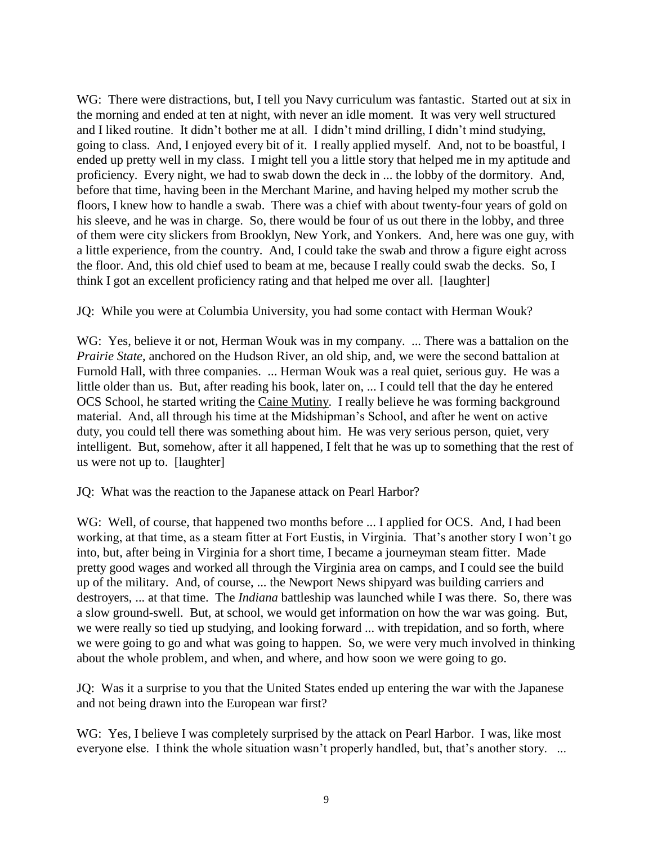WG: There were distractions, but, I tell you Navy curriculum was fantastic. Started out at six in the morning and ended at ten at night, with never an idle moment. It was very well structured and I liked routine. It didn't bother me at all. I didn't mind drilling, I didn't mind studying, going to class. And, I enjoyed every bit of it. I really applied myself. And, not to be boastful, I ended up pretty well in my class. I might tell you a little story that helped me in my aptitude and proficiency. Every night, we had to swab down the deck in ... the lobby of the dormitory. And, before that time, having been in the Merchant Marine, and having helped my mother scrub the floors, I knew how to handle a swab. There was a chief with about twenty-four years of gold on his sleeve, and he was in charge. So, there would be four of us out there in the lobby, and three of them were city slickers from Brooklyn, New York, and Yonkers. And, here was one guy, with a little experience, from the country. And, I could take the swab and throw a figure eight across the floor. And, this old chief used to beam at me, because I really could swab the decks. So, I think I got an excellent proficiency rating and that helped me over all. [laughter]

JQ: While you were at Columbia University, you had some contact with Herman Wouk?

WG: Yes, believe it or not, Herman Wouk was in my company. ... There was a battalion on the *Prairie State*, anchored on the Hudson River, an old ship, and, we were the second battalion at Furnold Hall, with three companies. ... Herman Wouk was a real quiet, serious guy. He was a little older than us. But, after reading his book, later on, ... I could tell that the day he entered OCS School, he started writing the Caine Mutiny. I really believe he was forming background material. And, all through his time at the Midshipman's School, and after he went on active duty, you could tell there was something about him. He was very serious person, quiet, very intelligent. But, somehow, after it all happened, I felt that he was up to something that the rest of us were not up to. [laughter]

JQ: What was the reaction to the Japanese attack on Pearl Harbor?

WG: Well, of course, that happened two months before ... I applied for OCS. And, I had been working, at that time, as a steam fitter at Fort Eustis, in Virginia. That's another story I won't go into, but, after being in Virginia for a short time, I became a journeyman steam fitter. Made pretty good wages and worked all through the Virginia area on camps, and I could see the build up of the military. And, of course, ... the Newport News shipyard was building carriers and destroyers, ... at that time. The *Indiana* battleship was launched while I was there. So, there was a slow ground-swell. But, at school, we would get information on how the war was going. But, we were really so tied up studying, and looking forward ... with trepidation, and so forth, where we were going to go and what was going to happen. So, we were very much involved in thinking about the whole problem, and when, and where, and how soon we were going to go.

JQ: Was it a surprise to you that the United States ended up entering the war with the Japanese and not being drawn into the European war first?

WG: Yes, I believe I was completely surprised by the attack on Pearl Harbor. I was, like most everyone else. I think the whole situation wasn't properly handled, but, that's another story. ...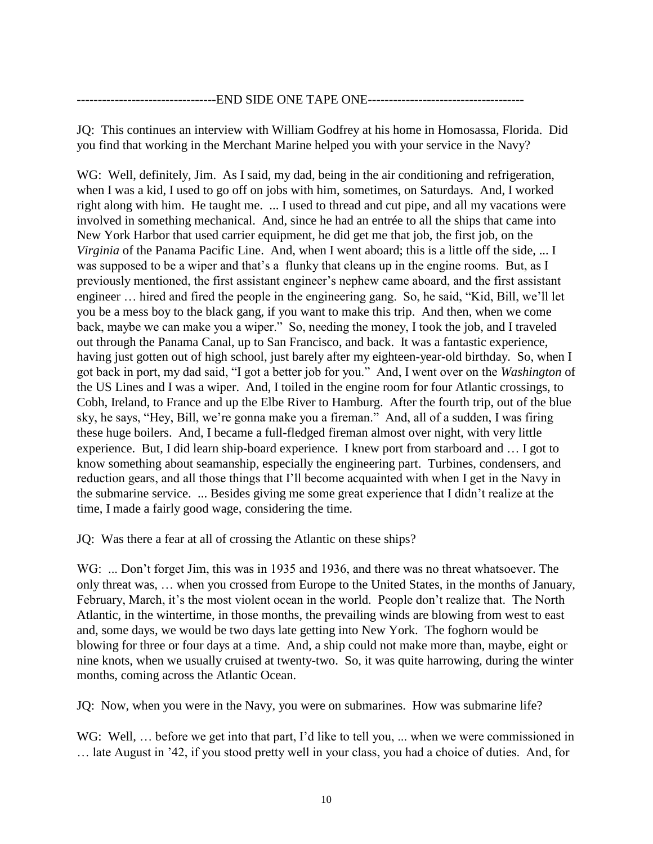## -END SIDE ONE TAPE ONE-----

JQ: This continues an interview with William Godfrey at his home in Homosassa, Florida. Did you find that working in the Merchant Marine helped you with your service in the Navy?

WG: Well, definitely, Jim. As I said, my dad, being in the air conditioning and refrigeration, when I was a kid, I used to go off on jobs with him, sometimes, on Saturdays. And, I worked right along with him. He taught me. ... I used to thread and cut pipe, and all my vacations were involved in something mechanical. And, since he had an entrée to all the ships that came into New York Harbor that used carrier equipment, he did get me that job, the first job, on the *Virginia* of the Panama Pacific Line. And, when I went aboard; this is a little off the side, ... I was supposed to be a wiper and that's a flunky that cleans up in the engine rooms. But, as I previously mentioned, the first assistant engineer's nephew came aboard, and the first assistant engineer ... hired and fired the people in the engineering gang. So, he said, "Kid, Bill, we'll let you be a mess boy to the black gang, if you want to make this trip. And then, when we come back, maybe we can make you a wiper." So, needing the money, I took the job, and I traveled out through the Panama Canal, up to San Francisco, and back. It was a fantastic experience, having just gotten out of high school, just barely after my eighteen-year-old birthday. So, when I got back in port, my dad said, "I got a better job for you." And, I went over on the *Washington* of the US Lines and I was a wiper. And, I toiled in the engine room for four Atlantic crossings, to Cobh, Ireland*,* to France and up the Elbe River to Hamburg. After the fourth trip, out of the blue sky, he says, "Hey, Bill, we're gonna make you a fireman." And, all of a sudden, I was firing these huge boilers. And, I became a full-fledged fireman almost over night, with very little experience. But, I did learn ship-board experience. I knew port from starboard and  $\dots$  I got to know something about seamanship, especially the engineering part. Turbines, condensers, and reduction gears, and all those things that I'll become acquainted with when I get in the Navy in the submarine service. ... Besides giving me some great experience that I didn't realize at the time, I made a fairly good wage, considering the time.

JQ: Was there a fear at all of crossing the Atlantic on these ships?

WG: ... Don't forget Jim, this was in 1935 and 1936, and there was no threat whatsoever. The only threat was, ... when you crossed from Europe to the United States, in the months of January, February, March, it's the most violent ocean in the world. People don't realize that. The North Atlantic, in the wintertime, in those months, the prevailing winds are blowing from west to east and, some days, we would be two days late getting into New York. The foghorn would be blowing for three or four days at a time. And, a ship could not make more than, maybe, eight or nine knots, when we usually cruised at twenty-two. So, it was quite harrowing, during the winter months, coming across the Atlantic Ocean.

JQ: Now, when you were in the Navy, you were on submarines. How was submarine life?

WG: Well, ... before we get into that part, I'd like to tell you, ... when we were commissioned in late August in '42, if you stood pretty well in your class, you had a choice of duties. And, for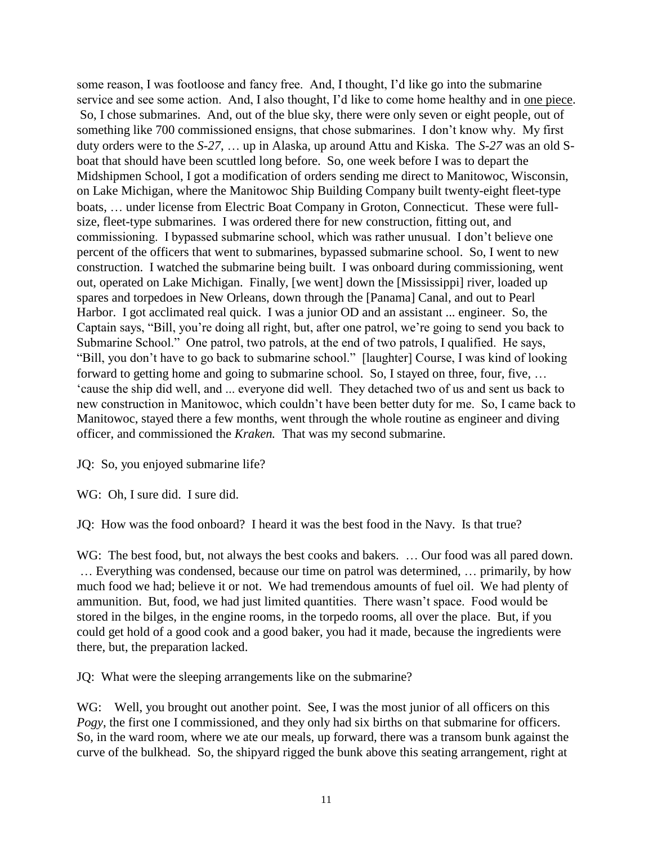some reason, I was footloose and fancy free. And, I thought, I'd like go into the submarine service and see some action. And, I also thought, I'd like to come home healthy and in <u>one piece</u>. So, I chose submarines. And, out of the blue sky, there were only seven or eight people, out of something like 700 commissioned ensigns, that chose submarines. I don't know why. My first duty orders were to the *S-27*, ... up in Alaska, up around Attu and Kiska. The *S-27* was an old *S*boat that should have been scuttled long before. So, one week before I was to depart the Midshipmen School, I got a modification of orders sending me direct to Manitowoc, Wisconsin, on Lake Michigan, where the Manitowoc Ship Building Company built twenty-eight fleet-type boats, ... under license from Electric Boat Company in Groton, Connecticut. These were fullsize, fleet-type submarines. I was ordered there for new construction, fitting out, and commissioning. I bypassed submarine school, which was rather unusual. I don't believe one percent of the officers that went to submarines, bypassed submarine school. So, I went to new construction. I watched the submarine being built. I was onboard during commissioning, went out, operated on Lake Michigan. Finally, [we went] down the [Mississippi] river, loaded up spares and torpedoes in New Orleans, down through the [Panama] Canal, and out to Pearl Harbor. I got acclimated real quick. I was a junior OD and an assistant ... engineer. So, the Captain says, "Bill, you're doing all right, but, after one patrol, we're going to send you back to Submarine School." One patrol, two patrols, at the end of two patrols, I qualified. He says, "Bill, you don't have to go back to submarine school." [laughter] Course, I was kind of looking forward to getting home and going to submarine school. So, I stayed on three, four, five, ... 'cause the ship did well, and ... everyone did well. They detached two of us and sent us back to new construction in Manitowoc, which couldn't have been better duty for me. So, I came back to Manitowoc, stayed there a few months, went through the whole routine as engineer and diving officer, and commissioned the *Kraken.* That was my second submarine.

JQ: So, you enjoyed submarine life?

WG: Oh, I sure did. I sure did.

JQ: How was the food onboard? I heard it was the best food in the Navy. Is that true?

WG: The best food, but, not always the best cooks and bakers. ... Our food was all pared down.  $\ldots$  Everything was condensed, because our time on patrol was determined,  $\ldots$  primarily, by how much food we had; believe it or not. We had tremendous amounts of fuel oil. We had plenty of ammunition. But, food, we had just limited quantities. There wasn't space. Food would be stored in the bilges, in the engine rooms, in the torpedo rooms, all over the place. But, if you could get hold of a good cook and a good baker, you had it made, because the ingredients were there, but, the preparation lacked.

JQ: What were the sleeping arrangements like on the submarine?

WG: Well, you brought out another point. See, I was the most junior of all officers on this *Pogy*, the first one I commissioned, and they only had six births on that submarine for officers. So, in the ward room, where we ate our meals, up forward, there was a transom bunk against the curve of the bulkhead. So, the shipyard rigged the bunk above this seating arrangement, right at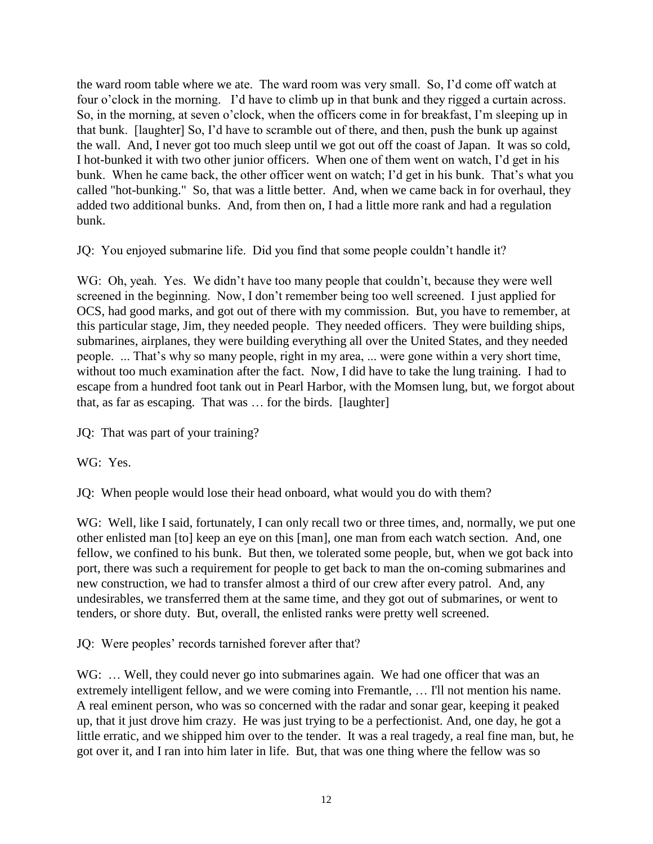the ward room table where we ate. The ward room was very small. So, I'd come off watch at four o'clock in the morning. I'd have to climb up in that bunk and they rigged a curtain across. So, in the morning, at seven o'clock, when the officers come in for breakfast, I'm sleeping up in that bunk. [laughter] So, I'd have to scramble out of there, and then, push the bunk up against the wall. And, I never got too much sleep until we got out off the coast of Japan. It was so cold, I hot-bunked it with two other junior officers. When one of them went on watch, I'd get in his bunk. When he came back, the other officer went on watch; I'd get in his bunk. That's what you called "hot-bunking." So, that was a little better. And, when we came back in for overhaul, they added two additional bunks. And, from then on, I had a little more rank and had a regulation bunk.

JQ: You enjoyed submarine life. Did you find that some people couldn't handle it?

WG: Oh, yeah. Yes. We didn't have too many people that couldn't, because they were well screened in the beginning. Now, I don't remember being too well screened. I just applied for OCS, had good marks, and got out of there with my commission. But, you have to remember, at this particular stage, Jim, they needed people. They needed officers. They were building ships, submarines, airplanes, they were building everything all over the United States, and they needed people. ... That's why so many people, right in my area, ... were gone within a very short time, without too much examination after the fact. Now, I did have to take the lung training. I had to escape from a hundred foot tank out in Pearl Harbor, with the Momsen lung, but, we forgot about that, as far as escaping. That was  $\ldots$  for the birds. [laughter]

JQ: That was part of your training?

WG: Yes.

JQ: When people would lose their head onboard, what would you do with them?

WG: Well, like I said, fortunately, I can only recall two or three times, and, normally, we put one other enlisted man [to] keep an eye on this [man], one man from each watch section. And, one fellow, we confined to his bunk. But then, we tolerated some people, but, when we got back into port, there was such a requirement for people to get back to man the on-coming submarines and new construction, we had to transfer almost a third of our crew after every patrol. And, any undesirables, we transferred them at the same time, and they got out of submarines, or went to tenders, or shore duty. But, overall, the enlisted ranks were pretty well screened.

JQ: Were peoples' records tarnished forever after that?

WG: ... Well, they could never go into submarines again. We had one officer that was an extremely intelligent fellow, and we were coming into Fremantle, ... I'll not mention his name. A real eminent person, who was so concerned with the radar and sonar gear, keeping it peaked up, that it just drove him crazy. He was just trying to be a perfectionist. And, one day, he got a little erratic, and we shipped him over to the tender. It was a real tragedy, a real fine man, but, he got over it, and I ran into him later in life. But, that was one thing where the fellow was so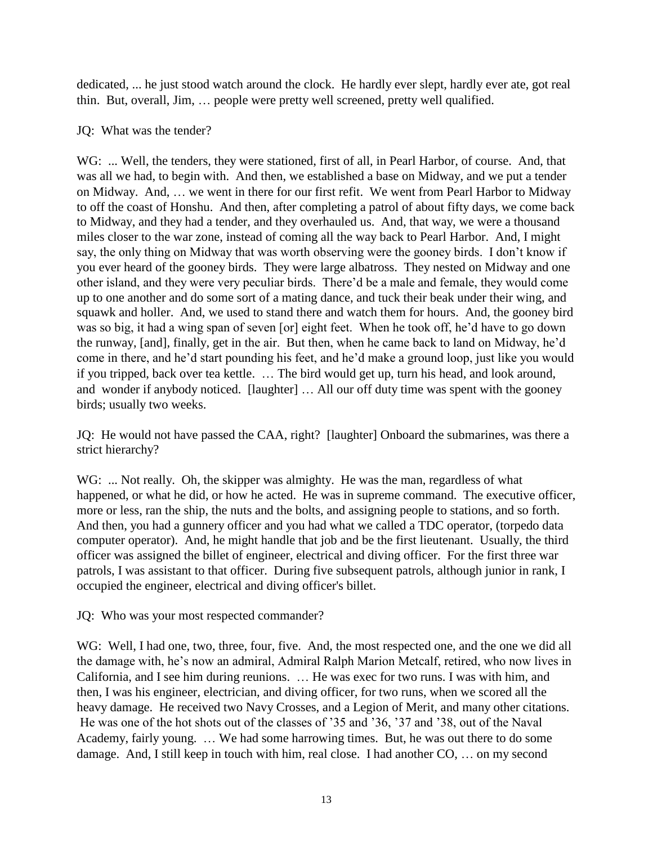dedicated, ... he just stood watch around the clock. He hardly ever slept, hardly ever ate, got real thin. But, overall, Jim, ... people were pretty well screened, pretty well qualified.

## JQ: What was the tender?

WG: ... Well, the tenders, they were stationed, first of all, in Pearl Harbor, of course. And, that was all we had, to begin with. And then, we established a base on Midway, and we put a tender on Midway. And, ... we went in there for our first refit. We went from Pearl Harbor to Midway to off the coast of Honshu. And then, after completing a patrol of about fifty days, we come back to Midway, and they had a tender, and they overhauled us. And, that way, we were a thousand miles closer to the war zone, instead of coming all the way back to Pearl Harbor. And, I might say, the only thing on Midway that was worth observing were the gooney birds. I don't know if you ever heard of the gooney birds. They were large albatross. They nested on Midway and one other island, and they were very peculiar birds. There'd be a male and female, they would come up to one another and do some sort of a mating dance, and tuck their beak under their wing, and squawk and holler. And, we used to stand there and watch them for hours. And, the gooney bird was so big, it had a wing span of seven [or] eight feet. When he took off, he'd have to go down the runway, [and], finally, get in the air. But then, when he came back to land on Midway, he'd come in there, and he'd start pounding his feet, and he'd make a ground loop, just like you would if you tripped, back over tea kettle. ... The bird would get up, turn his head, and look around, and wonder if anybody noticed. [laughter]  $\ldots$  All our off duty time was spent with the gooney birds; usually two weeks.

JQ: He would not have passed the CAA, right? [laughter] Onboard the submarines, was there a strict hierarchy?

WG: ... Not really. Oh, the skipper was almighty. He was the man, regardless of what happened, or what he did, or how he acted. He was in supreme command. The executive officer, more or less, ran the ship, the nuts and the bolts, and assigning people to stations, and so forth. And then, you had a gunnery officer and you had what we called a TDC operator, (torpedo data computer operator). And, he might handle that job and be the first lieutenant. Usually, the third officer was assigned the billet of engineer, electrical and diving officer. For the first three war patrols, I was assistant to that officer. During five subsequent patrols, although junior in rank, I occupied the engineer, electrical and diving officer's billet.

JQ: Who was your most respected commander?

WG: Well, I had one, two, three, four, five. And, the most respected one, and the one we did all the damage with, he's now an admiral, Admiral Ralph Marion Metcalf, retired, who now lives in California, and I see him during reunions. ... He was exec for two runs. I was with him, and then, I was his engineer, electrician, and diving officer, for two runs, when we scored all the heavy damage. He received two Navy Crosses, and a Legion of Merit, and many other citations. He was one of the hot shots out of the classes of '35 and '36, '37 and '38, out of the Naval Academy, fairly young. ... We had some harrowing times. But, he was out there to do some damage. And, I still keep in touch with him, real close. I had another  $CO$ , ... on my second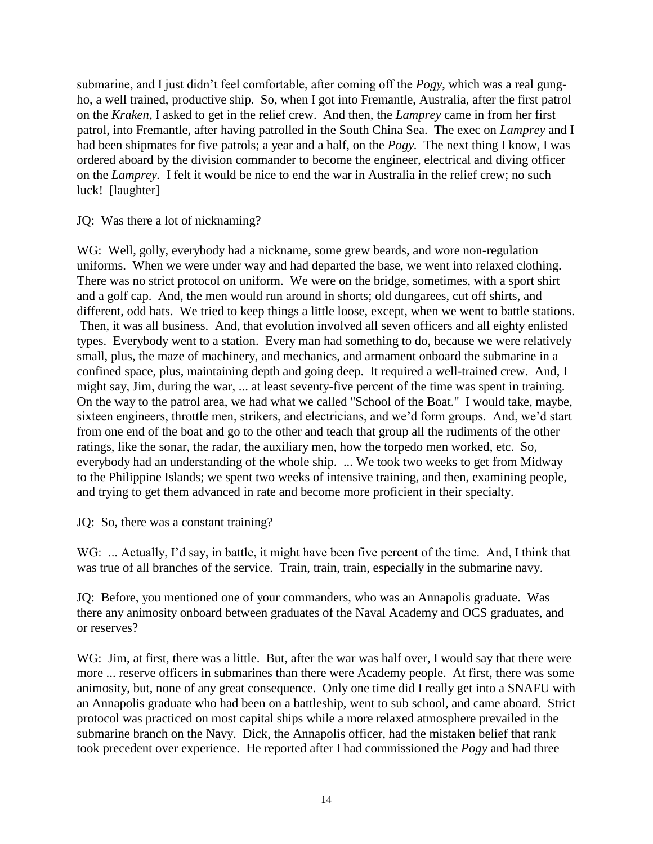submarine, and I just didn't feel comfortable, after coming off the *Pogy*, which was a real gungho, a well trained, productive ship. So, when I got into Fremantle, Australia, after the first patrol on the *Kraken*, I asked to get in the relief crew. And then, the *Lamprey* came in from her first patrol, into Fremantle, after having patrolled in the South China Sea. The exec on *Lamprey* and I had been shipmates for five patrols; a year and a half, on the *Pogy.* The next thing I know, I was ordered aboard by the division commander to become the engineer, electrical and diving officer on the *Lamprey.* I felt it would be nice to end the war in Australia in the relief crew; no such luck! [laughter]

JQ: Was there a lot of nicknaming?

WG: Well, golly, everybody had a nickname, some grew beards, and wore non-regulation uniforms. When we were under way and had departed the base, we went into relaxed clothing. There was no strict protocol on uniform. We were on the bridge, sometimes, with a sport shirt and a golf cap. And, the men would run around in shorts; old dungarees, cut off shirts, and different, odd hats. We tried to keep things a little loose, except, when we went to battle stations. Then, it was all business. And, that evolution involved all seven officers and all eighty enlisted types. Everybody went to a station. Every man had something to do, because we were relatively small, plus, the maze of machinery, and mechanics, and armament onboard the submarine in a confined space, plus, maintaining depth and going deep. It required a well-trained crew. And, I might say, Jim, during the war, ... at least seventy-five percent of the time was spent in training. On the way to the patrol area, we had what we called "School of the Boat." I would take, maybe, sixteen engineers, throttle men, strikers, and electricians, and we'd form groups. And, we'd start from one end of the boat and go to the other and teach that group all the rudiments of the other ratings, like the sonar, the radar, the auxiliary men, how the torpedo men worked, etc. So, everybody had an understanding of the whole ship. ... We took two weeks to get from Midway to the Philippine Islands; we spent two weeks of intensive training, and then, examining people, and trying to get them advanced in rate and become more proficient in their specialty.

JQ: So, there was a constant training?

WG: ... Actually, I'd say, in battle, it might have been five percent of the time. And, I think that was true of all branches of the service. Train, train, train, especially in the submarine navy.

JQ: Before, you mentioned one of your commanders, who was an Annapolis graduate. Was there any animosity onboard between graduates of the Naval Academy and OCS graduates, and or reserves?

WG: Jim, at first, there was a little. But, after the war was half over, I would say that there were more ... reserve officers in submarines than there were Academy people. At first, there was some animosity, but, none of any great consequence. Only one time did I really get into a SNAFU with an Annapolis graduate who had been on a battleship, went to sub school, and came aboard. Strict protocol was practiced on most capital ships while a more relaxed atmosphere prevailed in the submarine branch on the Navy. Dick, the Annapolis officer, had the mistaken belief that rank took precedent over experience. He reported after I had commissioned the *Pogy* and had three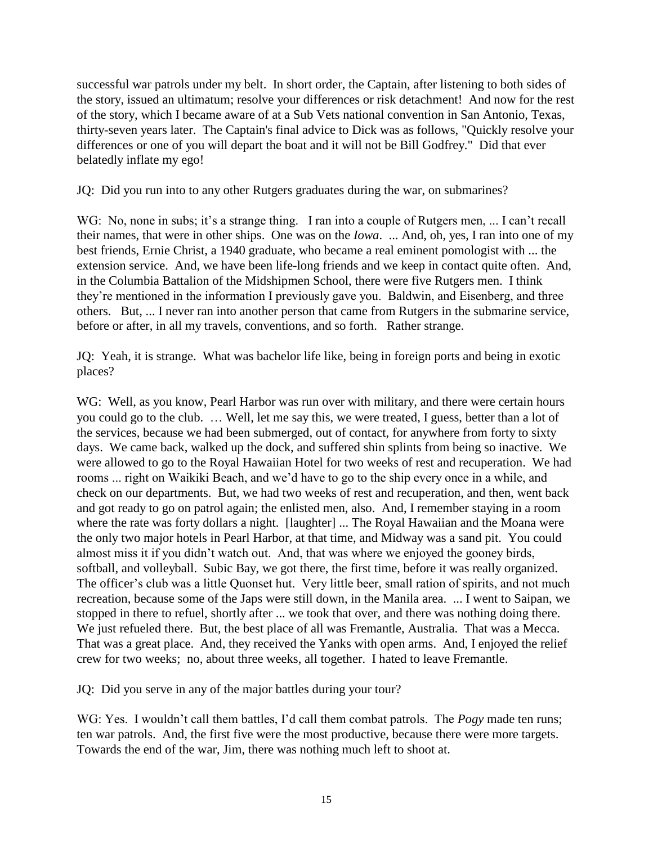successful war patrols under my belt. In short order, the Captain, after listening to both sides of the story, issued an ultimatum; resolve your differences or risk detachment! And now for the rest of the story, which I became aware of at a Sub Vets national convention in San Antonio, Texas, thirty-seven years later. The Captain's final advice to Dick was as follows, "Quickly resolve your differences or one of you will depart the boat and it will not be Bill Godfrey." Did that ever belatedly inflate my ego!

JQ: Did you run into to any other Rutgers graduates during the war, on submarines?

WG: No, none in subs; it's a strange thing. I ran into a couple of Rutgers men, ... I can't recall their names, that were in other ships. One was on the *Iowa*. ... And, oh, yes, I ran into one of my best friends, Ernie Christ, a 1940 graduate, who became a real eminent pomologist with ... the extension service. And, we have been life-long friends and we keep in contact quite often. And, in the Columbia Battalion of the Midshipmen School, there were five Rutgers men. I think they're mentioned in the information I previously gave you. Baldwin, and Eisenberg, and three others. But, ... I never ran into another person that came from Rutgers in the submarine service, before or after, in all my travels, conventions, and so forth. Rather strange.

JQ: Yeah, it is strange. What was bachelor life like, being in foreign ports and being in exotic places?

WG: Well, as you know, Pearl Harbor was run over with military, and there were certain hours you could go to the club. ... Well, let me say this, we were treated, I guess, better than a lot of the services, because we had been submerged, out of contact, for anywhere from forty to sixty days. We came back, walked up the dock, and suffered shin splints from being so inactive. We were allowed to go to the Royal Hawaiian Hotel for two weeks of rest and recuperation. We had rooms ... right on Waikiki Beach, and we'd have to go to the ship every once in a while, and check on our departments. But, we had two weeks of rest and recuperation, and then, went back and got ready to go on patrol again; the enlisted men, also. And, I remember staying in a room where the rate was forty dollars a night. [laughter] ... The Royal Hawaiian and the Moana were the only two major hotels in Pearl Harbor, at that time, and Midway was a sand pit. You could almost miss it if you didn't watch out. And, that was where we enjoyed the gooney birds, softball, and volleyball. Subic Bay, we got there, the first time, before it was really organized. The officer's club was a little Quonset hut. Very little beer, small ration of spirits, and not much recreation, because some of the Japs were still down, in the Manila area. ... I went to Saipan, we stopped in there to refuel, shortly after ... we took that over, and there was nothing doing there. We just refueled there. But, the best place of all was Fremantle, Australia. That was a Mecca. That was a great place. And, they received the Yanks with open arms. And, I enjoyed the relief crew for two weeks; no, about three weeks, all together. I hated to leave Fremantle.

JQ: Did you serve in any of the major battles during your tour?

WG: Yes. I wouldn't call them battles, I'd call them combat patrols. The *Pogy* made ten runs; ten war patrols. And, the first five were the most productive, because there were more targets. Towards the end of the war, Jim, there was nothing much left to shoot at.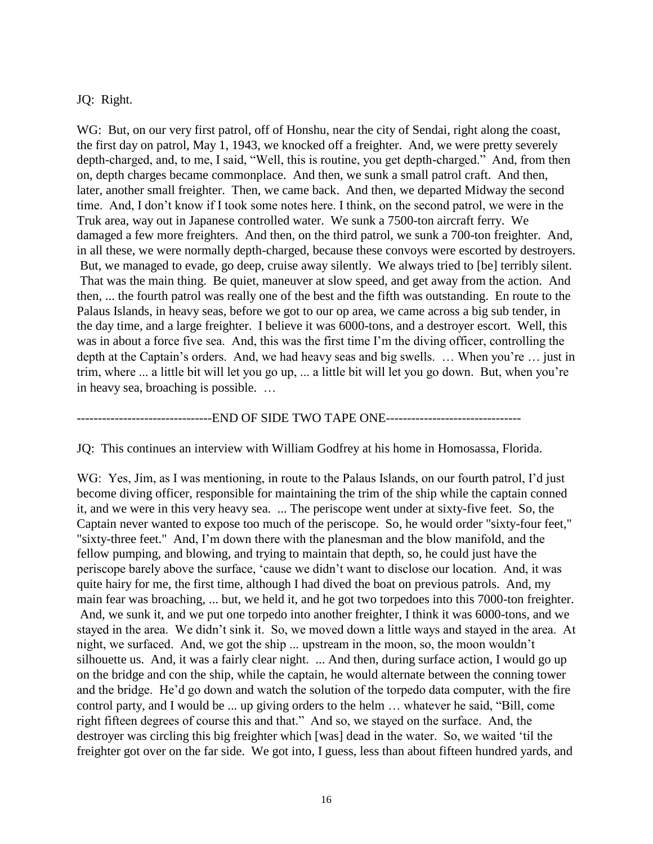### JQ: Right.

WG: But, on our very first patrol, off of Honshu, near the city of Sendai, right along the coast, the first day on patrol, May 1, 1943, we knocked off a freighter. And, we were pretty severely depth-charged, and, to me, I said, "Well, this is routine, you get depth-charged." And, from then on, depth charges became commonplace. And then, we sunk a small patrol craft. And then, later, another small freighter. Then, we came back. And then, we departed Midway the second time. And, I don't know if I took some notes here. I think, on the second patrol, we were in the Truk area, way out in Japanese controlled water. We sunk a 7500-ton aircraft ferry. We damaged a few more freighters. And then, on the third patrol, we sunk a 700-ton freighter. And, in all these, we were normally depth-charged, because these convoys were escorted by destroyers. But, we managed to evade, go deep, cruise away silently. We always tried to [be] terribly silent. That was the main thing. Be quiet, maneuver at slow speed, and get away from the action. And then, ... the fourth patrol was really one of the best and the fifth was outstanding. En route to the Palaus Islands, in heavy seas, before we got to our op area, we came across a big sub tender, in the day time, and a large freighter. I believe it was 6000-tons, and a destroyer escort. Well, this was in about a force five sea. And, this was the first time I'm the diving officer, controlling the depth at the Captain's orders. And, we had heavy seas and big swells.  $\ldots$  When you're  $\ldots$  just in trim, where ... a little bit will let you go up, ... a little bit will let you go down. But, when you're in heavy sea, broaching is possible.

--------------------------------END OF SIDE TWO TAPE ONE--------------------------------

JQ: This continues an interview with William Godfrey at his home in Homosassa, Florida.

WG: Yes, Jim, as I was mentioning, in route to the Palaus Islands, on our fourth patrol, I'd just become diving officer, responsible for maintaining the trim of the ship while the captain conned it, and we were in this very heavy sea. ... The periscope went under at sixty-five feet. So, the Captain never wanted to expose too much of the periscope. So, he would order "sixty-four feet," "sixty-three feet." And, I'm down there with the planesman and the blow manifold, and the fellow pumping, and blowing, and trying to maintain that depth, so, he could just have the periscope barely above the surface, 'cause we didn't want to disclose our location. And, it was quite hairy for me, the first time, although I had dived the boat on previous patrols. And, my main fear was broaching, ... but, we held it, and he got two torpedoes into this 7000-ton freighter. And, we sunk it, and we put one torpedo into another freighter, I think it was 6000-tons, and we stayed in the area. We didn't sink it. So, we moved down a little ways and stayed in the area. At night, we surfaced. And, we got the ship ... upstream in the moon, so, the moon wouldn't silhouette us. And, it was a fairly clear night. ... And then, during surface action, I would go up on the bridge and con the ship, while the captain, he would alternate between the conning tower and the bridge. He'd go down and watch the solution of the torpedo data computer, with the fire control party, and I would be  $\dots$  up giving orders to the helm  $\dots$  whatever he said, "Bill, come right fifteen degrees of course this and that." And so, we stayed on the surface. And, the destroyer was circling this big freighter which [was] dead in the water. So, we waited 'til the freighter got over on the far side. We got into, I guess, less than about fifteen hundred yards, and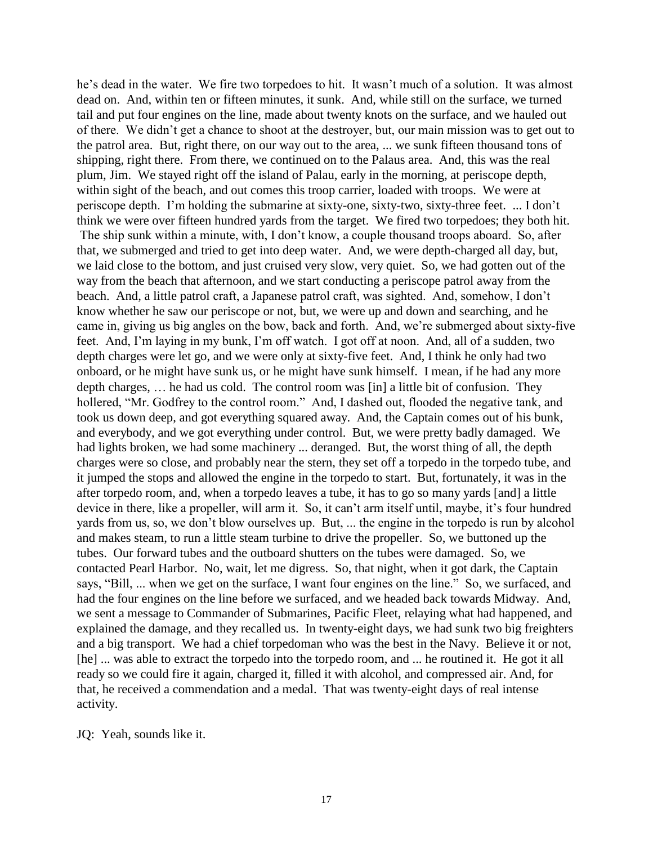he's dead in the water. We fire two torpedoes to hit. It wasn't much of a solution. It was almost dead on. And, within ten or fifteen minutes, it sunk. And, while still on the surface, we turned tail and put four engines on the line, made about twenty knots on the surface, and we hauled out of there. We didn't get a chance to shoot at the destroyer, but, our main mission was to get out to the patrol area. But, right there, on our way out to the area, ... we sunk fifteen thousand tons of shipping, right there. From there, we continued on to the Palaus area. And, this was the real plum, Jim. We stayed right off the island of Palau, early in the morning, at periscope depth, within sight of the beach, and out comes this troop carrier, loaded with troops. We were at periscope depth. I'm holding the submarine at sixty-one, sixty-two, sixty-three feet. ... I don't think we were over fifteen hundred yards from the target. We fired two torpedoes; they both hit. The ship sunk within a minute, with, I don't know, a couple thousand troops aboard. So, after that, we submerged and tried to get into deep water. And, we were depth-charged all day, but, we laid close to the bottom, and just cruised very slow, very quiet. So, we had gotten out of the way from the beach that afternoon, and we start conducting a periscope patrol away from the beach. And, a little patrol craft, a Japanese patrol craft, was sighted. And, somehow, I don't know whether he saw our periscope or not, but, we were up and down and searching, and he came in, giving us big angles on the bow, back and forth. And, we're submerged about sixty-five feet. And, I'm laying in my bunk, I'm off watch. I got off at noon. And, all of a sudden, two depth charges were let go, and we were only at sixty-five feet. And, I think he only had two onboard, or he might have sunk us, or he might have sunk himself. I mean, if he had any more depth charges,  $\dots$  he had us cold. The control room was [in] a little bit of confusion. They hollered, "Mr. Godfrey to the control room." And, I dashed out, flooded the negative tank, and took us down deep, and got everything squared away. And, the Captain comes out of his bunk, and everybody, and we got everything under control. But, we were pretty badly damaged. We had lights broken, we had some machinery ... deranged. But, the worst thing of all, the depth charges were so close, and probably near the stern, they set off a torpedo in the torpedo tube, and it jumped the stops and allowed the engine in the torpedo to start. But, fortunately, it was in the after torpedo room, and, when a torpedo leaves a tube, it has to go so many yards [and] a little device in there, like a propeller, will arm it. So, it can't arm itself until, maybe, it's four hundred yards from us, so, we don't blow ourselves up. But, ... the engine in the torpedo is run by alcohol and makes steam, to run a little steam turbine to drive the propeller. So, we buttoned up the tubes. Our forward tubes and the outboard shutters on the tubes were damaged. So, we contacted Pearl Harbor. No, wait, let me digress. So, that night, when it got dark, the Captain says, "Bill, ... when we get on the surface, I want four engines on the line." So, we surfaced, and had the four engines on the line before we surfaced, and we headed back towards Midway. And, we sent a message to Commander of Submarines, Pacific Fleet, relaying what had happened, and explained the damage, and they recalled us. In twenty-eight days, we had sunk two big freighters and a big transport. We had a chief torpedoman who was the best in the Navy. Believe it or not, [he] ... was able to extract the torpedo into the torpedo room, and ... he routined it. He got it all ready so we could fire it again, charged it, filled it with alcohol, and compressed air. And, for that, he received a commendation and a medal. That was twenty-eight days of real intense activity.

JQ: Yeah, sounds like it.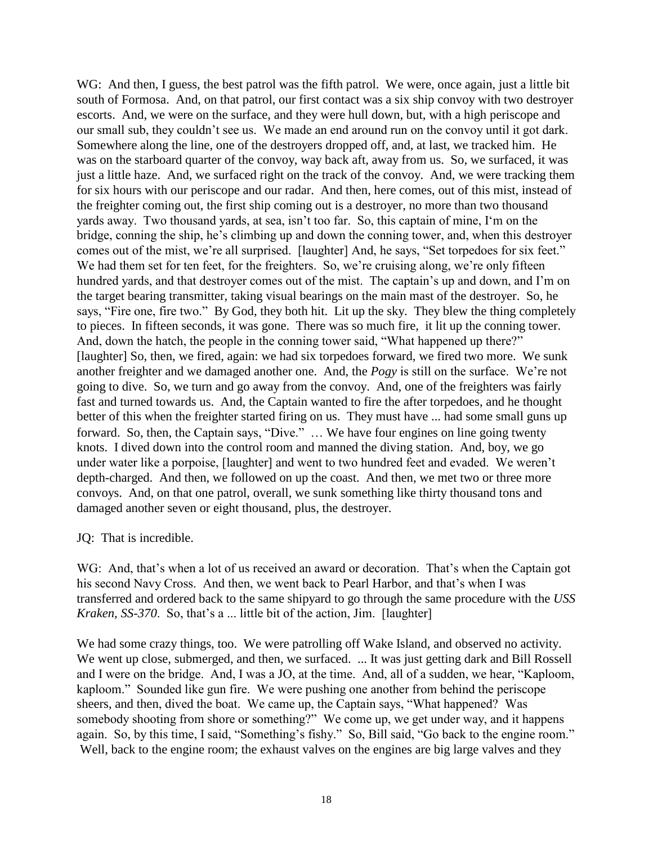WG: And then, I guess, the best patrol was the fifth patrol. We were, once again, just a little bit south of Formosa. And, on that patrol, our first contact was a six ship convoy with two destroyer escorts. And, we were on the surface, and they were hull down, but, with a high periscope and our small sub, they couldn't see us. We made an end around run on the convoy until it got dark. Somewhere along the line, one of the destroyers dropped off, and, at last, we tracked him. He was on the starboard quarter of the convoy, way back aft, away from us. So, we surfaced, it was just a little haze. And, we surfaced right on the track of the convoy. And, we were tracking them for six hours with our periscope and our radar. And then, here comes, out of this mist, instead of the freighter coming out, the first ship coming out is a destroyer, no more than two thousand yards away. Two thousand yards, at sea, isn't too far. So, this captain of mine, I'm on the bridge, conning the ship, he's climbing up and down the conning tower, and, when this destroyer comes out of the mist, we're all surprised. [laughter] And, he says, "Set torpedoes for six feet." We had them set for ten feet, for the freighters. So, we're cruising along, we're only fifteen hundred yards, and that destroyer comes out of the mist. The captain's up and down, and I'm on the target bearing transmitter, taking visual bearings on the main mast of the destroyer. So, he says, "Fire one, fire two." By God, they both hit. Lit up the sky. They blew the thing completely to pieces. In fifteen seconds, it was gone. There was so much fire, it lit up the conning tower. And, down the hatch, the people in the conning tower said, "What happened up there?" [laughter] So, then, we fired, again: we had six torpedoes forward, we fired two more. We sunk another freighter and we damaged another one. And, the *Pogy* is still on the surface. We're not going to dive. So, we turn and go away from the convoy. And, one of the freighters was fairly fast and turned towards us. And, the Captain wanted to fire the after torpedoes, and he thought better of this when the freighter started firing on us. They must have ... had some small guns up forward. So, then, the Captain says, "Dive." ... We have four engines on line going twenty knots. I dived down into the control room and manned the diving station. And, boy, we go under water like a porpoise, [laughter] and went to two hundred feet and evaded. We weren't depth-charged. And then, we followed on up the coast. And then, we met two or three more convoys. And, on that one patrol, overall, we sunk something like thirty thousand tons and damaged another seven or eight thousand, plus, the destroyer.

### JQ: That is incredible.

WG: And, that's when a lot of us received an award or decoration. That's when the Captain got his second Navy Cross. And then, we went back to Pearl Harbor, and that's when I was transferred and ordered back to the same shipyard to go through the same procedure with the *USS Kraken, SS-370*. So, that's a ... little bit of the action, Jim. [laughter]

We had some crazy things, too. We were patrolling off Wake Island, and observed no activity. We went up close, submerged, and then, we surfaced. ... It was just getting dark and Bill Rossell and I were on the bridge. And, I was a JO, at the time. And, all of a sudden, we hear, "Kaploom, kaploom." Sounded like gun fire. We were pushing one another from behind the periscope sheers, and then, dived the boat. We came up, the Captain says, "What happened? Was somebody shooting from shore or something?" We come up, we get under way, and it happens again. So, by this time, I said, "Something's fishy." So, Bill said, "Go back to the engine room." Well, back to the engine room; the exhaust valves on the engines are big large valves and they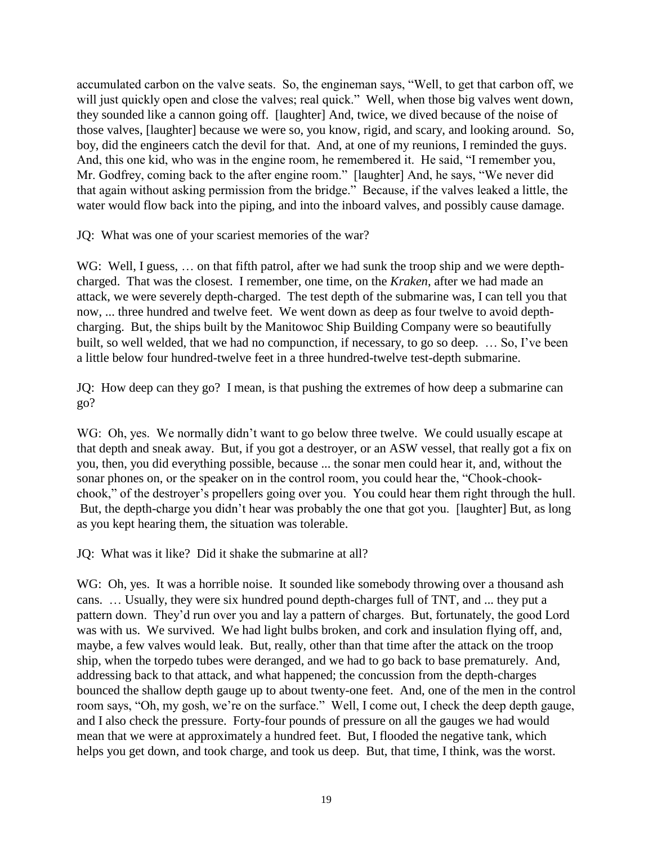accumulated carbon on the valve seats. So, the engineman says, "Well, to get that carbon off, we will just quickly open and close the valves; real quick." Well, when those big valves went down, they sounded like a cannon going off. [laughter] And, twice, we dived because of the noise of those valves, [laughter] because we were so, you know, rigid, and scary, and looking around. So, boy, did the engineers catch the devil for that. And, at one of my reunions, I reminded the guys. And, this one kid, who was in the engine room, he remembered it. He said, "I remember you, Mr. Godfrey, coming back to the after engine room." [laughter] And, he says, "We never did that again without asking permission from the bridge." Because, if the valves leaked a little, the water would flow back into the piping, and into the inboard valves, and possibly cause damage.

JQ: What was one of your scariest memories of the war?

WG: Well, I guess, ... on that fifth patrol, after we had sunk the troop ship and we were depthcharged. That was the closest. I remember, one time, on the *Kraken*, after we had made an attack, we were severely depth-charged. The test depth of the submarine was, I can tell you that now, ... three hundred and twelve feet. We went down as deep as four twelve to avoid depthcharging. But, the ships built by the Manitowoc Ship Building Company were so beautifully built, so well welded, that we had no compunction, if necessary, to go so deep.  $\ldots$  So, I've been a little below four hundred-twelve feet in a three hundred-twelve test-depth submarine.

JQ: How deep can they go? I mean, is that pushing the extremes of how deep a submarine can go?

WG: Oh, yes. We normally didn't want to go below three twelve. We could usually escape at that depth and sneak away. But, if you got a destroyer, or an ASW vessel, that really got a fix on you, then, you did everything possible, because ... the sonar men could hear it, and, without the sonar phones on, or the speaker on in the control room, you could hear the, "Chook-chookchook," of the destroyer's propellers going over you. You could hear them right through the hull. But, the depth-charge you didn't hear was probably the one that got you. [laughter] But, as long as you kept hearing them, the situation was tolerable.

JQ: What was it like? Did it shake the submarine at all?

WG: Oh, yes. It was a horrible noise. It sounded like somebody throwing over a thousand ash cans. ... Usually, they were six hundred pound depth-charges full of TNT, and ... they put a pattern down. They'd run over you and lay a pattern of charges. But, fortunately, the good Lord was with us. We survived. We had light bulbs broken, and cork and insulation flying off, and, maybe, a few valves would leak. But, really, other than that time after the attack on the troop ship, when the torpedo tubes were deranged, and we had to go back to base prematurely. And, addressing back to that attack, and what happened; the concussion from the depth-charges bounced the shallow depth gauge up to about twenty-one feet. And, one of the men in the control room says, "Oh, my gosh, we're on the surface." Well, I come out, I check the deep depth gauge, and I also check the pressure. Forty-four pounds of pressure on all the gauges we had would mean that we were at approximately a hundred feet. But, I flooded the negative tank, which helps you get down, and took charge, and took us deep. But, that time, I think, was the worst.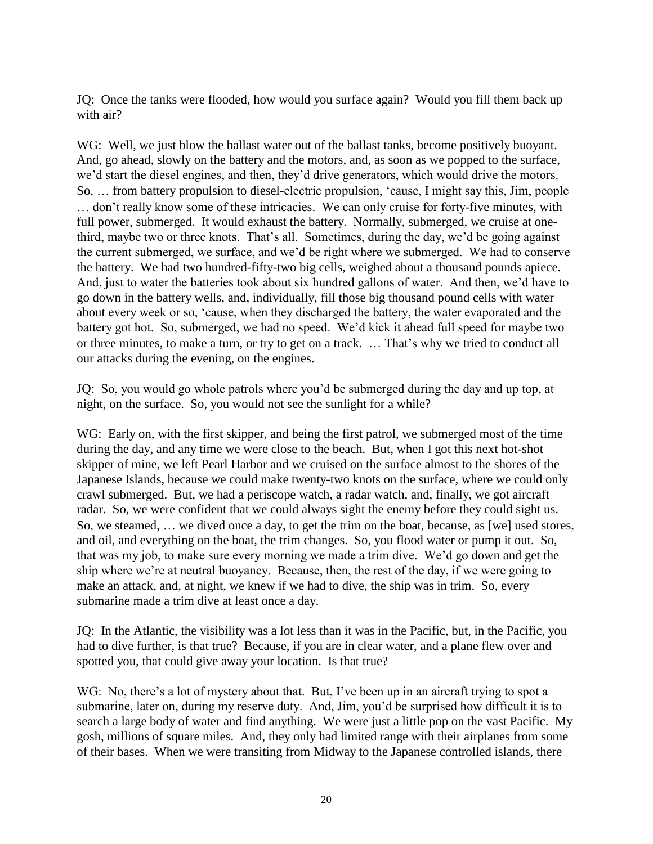JQ: Once the tanks were flooded, how would you surface again? Would you fill them back up with air?

WG: Well, we just blow the ballast water out of the ballast tanks, become positively buoyant. And, go ahead, slowly on the battery and the motors, and, as soon as we popped to the surface, we'd start the diesel engines, and then, they'd drive generators, which would drive the motors. So, ... from battery propulsion to diesel-electric propulsion, 'cause, I might say this, Jim, people don't really know some of these intricacies. We can only cruise for forty-five minutes, with full power, submerged. It would exhaust the battery. Normally, submerged, we cruise at onethird, maybe two or three knots. That's all. Sometimes, during the day, we'd be going against the current submerged, we surface, and we'd be right where we submerged. We had to conserve the battery. We had two hundred-fifty-two big cells, weighed about a thousand pounds apiece. And, just to water the batteries took about six hundred gallons of water. And then, we'd have to go down in the battery wells, and, individually, fill those big thousand pound cells with water about every week or so, 'cause, when they discharged the battery, the water evaporated and the battery got hot. So, submerged, we had no speed. We'd kick it ahead full speed for maybe two or three minutes, to make a turn, or try to get on a track. ... That's why we tried to conduct all our attacks during the evening, on the engines.

JQ: So, you would go whole patrols where you'd be submerged during the day and up top, at night, on the surface. So, you would not see the sunlight for a while?

WG: Early on, with the first skipper, and being the first patrol, we submerged most of the time during the day, and any time we were close to the beach. But, when I got this next hot-shot skipper of mine, we left Pearl Harbor and we cruised on the surface almost to the shores of the Japanese Islands, because we could make twenty-two knots on the surface, where we could only crawl submerged. But, we had a periscope watch, a radar watch, and, finally, we got aircraft radar. So, we were confident that we could always sight the enemy before they could sight us. So, we steamed, ... we dived once a day, to get the trim on the boat, because, as [we] used stores, and oil, and everything on the boat, the trim changes. So, you flood water or pump it out. So, that was my job, to make sure every morning we made a trim dive. We'd go down and get the ship where we're at neutral buoyancy. Because, then, the rest of the day, if we were going to make an attack, and, at night, we knew if we had to dive, the ship was in trim. So, every submarine made a trim dive at least once a day.

JQ: In the Atlantic, the visibility was a lot less than it was in the Pacific, but, in the Pacific, you had to dive further, is that true? Because, if you are in clear water, and a plane flew over and spotted you, that could give away your location. Is that true?

WG: No, there's a lot of mystery about that. But, I've been up in an aircraft trying to spot a submarine, later on, during my reserve duty. And, Jim, you'd be surprised how difficult it is to search a large body of water and find anything. We were just a little pop on the vast Pacific. My gosh, millions of square miles. And, they only had limited range with their airplanes from some of their bases. When we were transiting from Midway to the Japanese controlled islands, there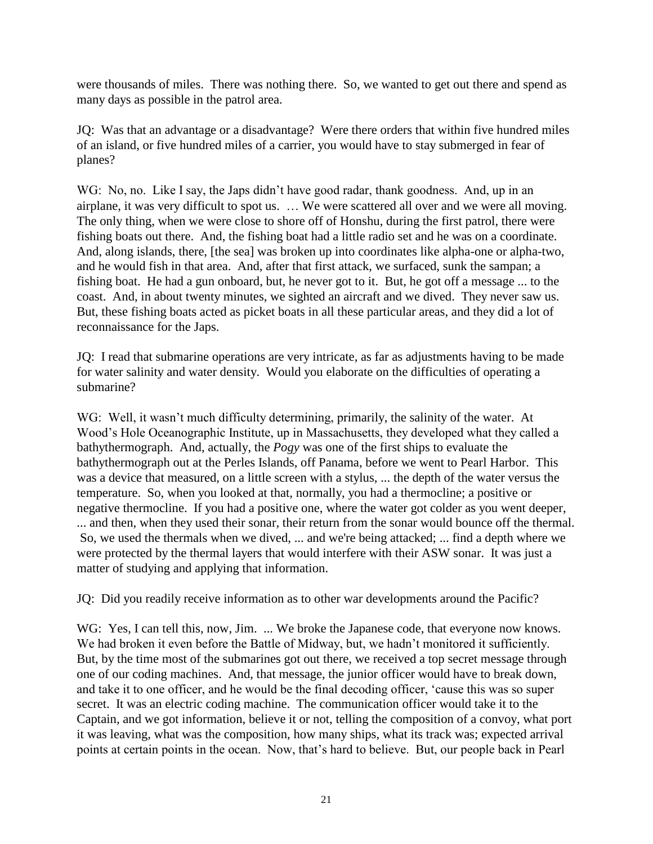were thousands of miles. There was nothing there. So, we wanted to get out there and spend as many days as possible in the patrol area.

JQ: Was that an advantage or a disadvantage? Were there orders that within five hundred miles of an island, or five hundred miles of a carrier, you would have to stay submerged in fear of planes?

WG: No, no. Like I say, the Japs didn't have good radar, thank goodness. And, up in an airplane, it was very difficult to spot us. ... We were scattered all over and we were all moving. The only thing, when we were close to shore off of Honshu, during the first patrol, there were fishing boats out there. And, the fishing boat had a little radio set and he was on a coordinate. And, along islands, there, [the sea] was broken up into coordinates like alpha-one or alpha-two, and he would fish in that area. And, after that first attack, we surfaced, sunk the sampan; a fishing boat. He had a gun onboard, but, he never got to it. But, he got off a message ... to the coast. And, in about twenty minutes, we sighted an aircraft and we dived. They never saw us. But, these fishing boats acted as picket boats in all these particular areas, and they did a lot of reconnaissance for the Japs.

JQ: I read that submarine operations are very intricate, as far as adjustments having to be made for water salinity and water density. Would you elaborate on the difficulties of operating a submarine?

WG: Well, it wasn't much difficulty determining, primarily, the salinity of the water. At Wood's Hole Oceanographic Institute, up in Massachusetts, they developed what they called a bathythermograph. And, actually, the *Pogy* was one of the first ships to evaluate the bathythermograph out at the Perles Islands, off Panama, before we went to Pearl Harbor. This was a device that measured, on a little screen with a stylus, ... the depth of the water versus the temperature. So, when you looked at that, normally, you had a thermocline; a positive or negative thermocline. If you had a positive one, where the water got colder as you went deeper, ... and then, when they used their sonar, their return from the sonar would bounce off the thermal. So, we used the thermals when we dived, ... and we're being attacked; ... find a depth where we were protected by the thermal layers that would interfere with their ASW sonar. It was just a matter of studying and applying that information.

JQ: Did you readily receive information as to other war developments around the Pacific?

WG: Yes, I can tell this, now, Jim. ... We broke the Japanese code, that everyone now knows. We had broken it even before the Battle of Midway, but, we hadn't monitored it sufficiently. But, by the time most of the submarines got out there, we received a top secret message through one of our coding machines. And, that message, the junior officer would have to break down, and take it to one officer, and he would be the final decoding officer, 'cause this was so super secret. It was an electric coding machine. The communication officer would take it to the Captain, and we got information, believe it or not, telling the composition of a convoy, what port it was leaving, what was the composition, how many ships, what its track was; expected arrival points at certain points in the ocean. Now, that's hard to believe. But, our people back in Pearl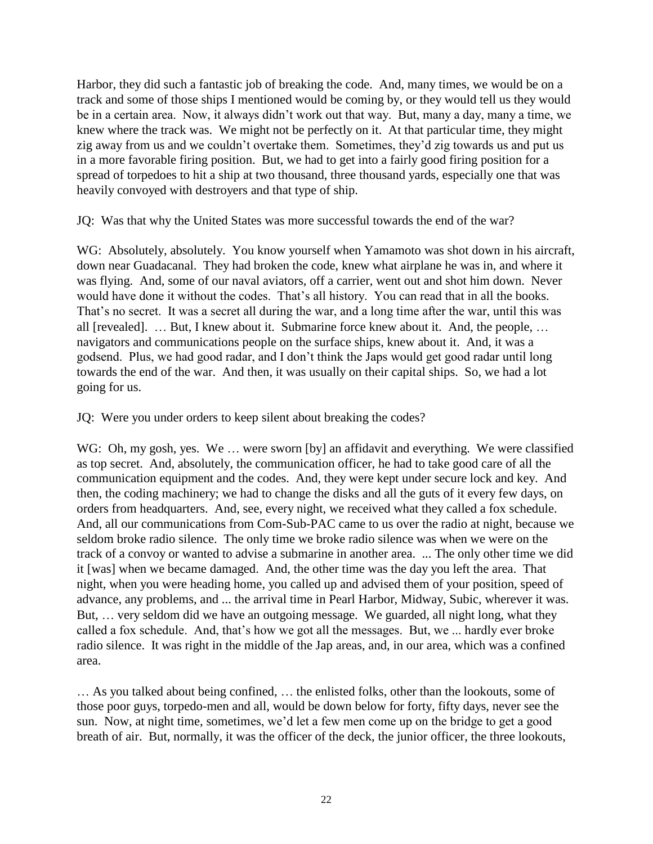Harbor, they did such a fantastic job of breaking the code. And, many times, we would be on a track and some of those ships I mentioned would be coming by, or they would tell us they would be in a certain area. Now, it always didn't work out that way. But, many a day, many a time, we knew where the track was. We might not be perfectly on it. At that particular time, they might zig away from us and we couldn't overtake them. Sometimes, they'd zig towards us and put us in a more favorable firing position. But, we had to get into a fairly good firing position for a spread of torpedoes to hit a ship at two thousand, three thousand yards, especially one that was heavily convoyed with destroyers and that type of ship.

JQ: Was that why the United States was more successful towards the end of the war?

WG: Absolutely, absolutely. You know yourself when Yamamoto was shot down in his aircraft, down near Guadacanal. They had broken the code, knew what airplane he was in, and where it was flying. And, some of our naval aviators, off a carrier, went out and shot him down. Never would have done it without the codes. That's all history. You can read that in all the books. That's no secret. It was a secret all during the war, and a long time after the war, until this was all [revealed].  $\ldots$  But, I knew about it. Submarine force knew about it. And, the people,  $\ldots$ navigators and communications people on the surface ships, knew about it. And, it was a godsend. Plus, we had good radar, and I don't think the Japs would get good radar until long towards the end of the war. And then, it was usually on their capital ships. So, we had a lot going for us.

JQ: Were you under orders to keep silent about breaking the codes?

WG: Oh, my gosh, yes. We ... were sworn [by] an affidavit and everything. We were classified as top secret. And, absolutely, the communication officer, he had to take good care of all the communication equipment and the codes. And, they were kept under secure lock and key. And then, the coding machinery; we had to change the disks and all the guts of it every few days, on orders from headquarters. And, see, every night, we received what they called a fox schedule. And, all our communications from Com-Sub-PAC came to us over the radio at night, because we seldom broke radio silence. The only time we broke radio silence was when we were on the track of a convoy or wanted to advise a submarine in another area. ... The only other time we did it [was] when we became damaged. And, the other time was the day you left the area. That night, when you were heading home, you called up and advised them of your position, speed of advance, any problems, and ... the arrival time in Pearl Harbor, Midway, Subic, wherever it was. But, ... very seldom did we have an outgoing message. We guarded, all night long, what they called a fox schedule. And, that's how we got all the messages. But, we ... hardly ever broke radio silence. It was right in the middle of the Jap areas, and, in our area, which was a confined area.

... As you talked about being confined, ... the enlisted folks, other than the lookouts, some of those poor guys, torpedo-men and all, would be down below for forty, fifty days, never see the sun. Now, at night time, sometimes, we'd let a few men come up on the bridge to get a good breath of air. But, normally, it was the officer of the deck, the junior officer, the three lookouts,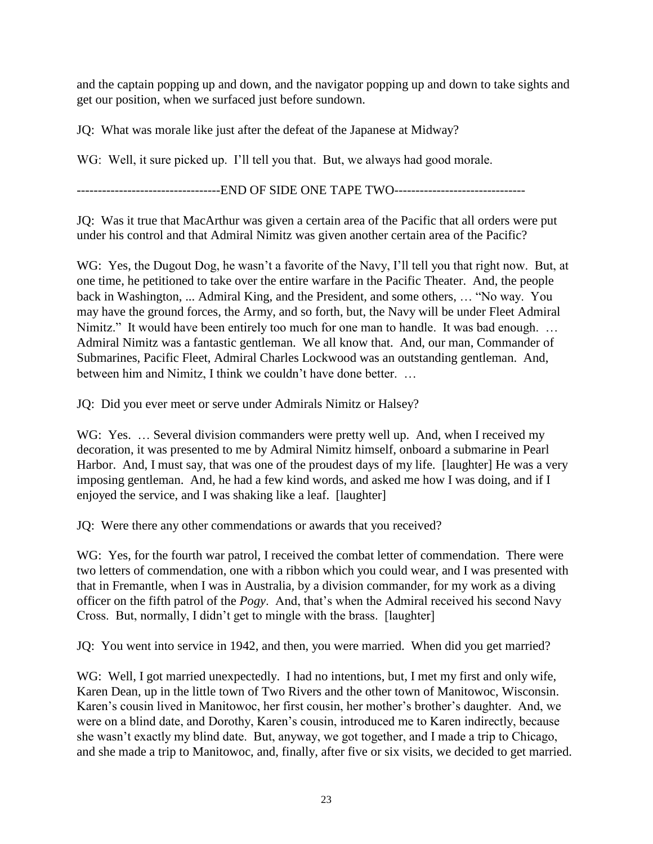and the captain popping up and down, and the navigator popping up and down to take sights and get our position, when we surfaced just before sundown.

JQ: What was morale like just after the defeat of the Japanese at Midway?

WG: Well, it sure picked up. I'll tell you that. But, we always had good morale.

--------------------------END OF SIDE ONE TAPE TWO-------------------------------

JQ: Was it true that MacArthur was given a certain area of the Pacific that all orders were put under his control and that Admiral Nimitz was given another certain area of the Pacific?

WG: Yes, the Dugout Dog, he wasn't a favorite of the Navy, I'll tell you that right now. But, at one time, he petitioned to take over the entire warfare in the Pacific Theater. And, the people back in Washington, ... Admiral King, and the President, and some others, ... "No way. You may have the ground forces, the Army, and so forth, but, the Navy will be under Fleet Admiral Nimitz." It would have been entirely too much for one man to handle. It was bad enough. ... Admiral Nimitz was a fantastic gentleman. We all know that. And, our man, Commander of Submarines, Pacific Fleet, Admiral Charles Lockwood was an outstanding gentleman. And, between him and Nimitz, I think we couldn't have done better. ...

JQ: Did you ever meet or serve under Admirals Nimitz or Halsey?

WG: Yes. ... Several division commanders were pretty well up. And, when I received my decoration, it was presented to me by Admiral Nimitz himself, onboard a submarine in Pearl Harbor. And, I must say, that was one of the proudest days of my life. [laughter] He was a very imposing gentleman. And, he had a few kind words, and asked me how I was doing, and if I enjoyed the service, and I was shaking like a leaf. [laughter]

JQ: Were there any other commendations or awards that you received?

WG: Yes, for the fourth war patrol, I received the combat letter of commendation. There were two letters of commendation, one with a ribbon which you could wear, and I was presented with that in Fremantle, when I was in Australia, by a division commander, for my work as a diving officer on the fifth patrol of the *Pogy*. And, that's when the Admiral received his second Navy Cross. But, normally, I didn't get to mingle with the brass. [laughter]

JQ: You went into service in 1942, and then, you were married. When did you get married?

WG: Well, I got married unexpectedly. I had no intentions, but, I met my first and only wife, Karen Dean, up in the little town of Two Rivers and the other town of Manitowoc, Wisconsin. Karen's cousin lived in Manitowoc, her first cousin, her mother's brother's daughter. And, we were on a blind date, and Dorothy, Karen's cousin, introduced me to Karen indirectly, because she wasn't exactly my blind date. But, anyway, we got together, and I made a trip to Chicago, and she made a trip to Manitowoc, and, finally, after five or six visits, we decided to get married.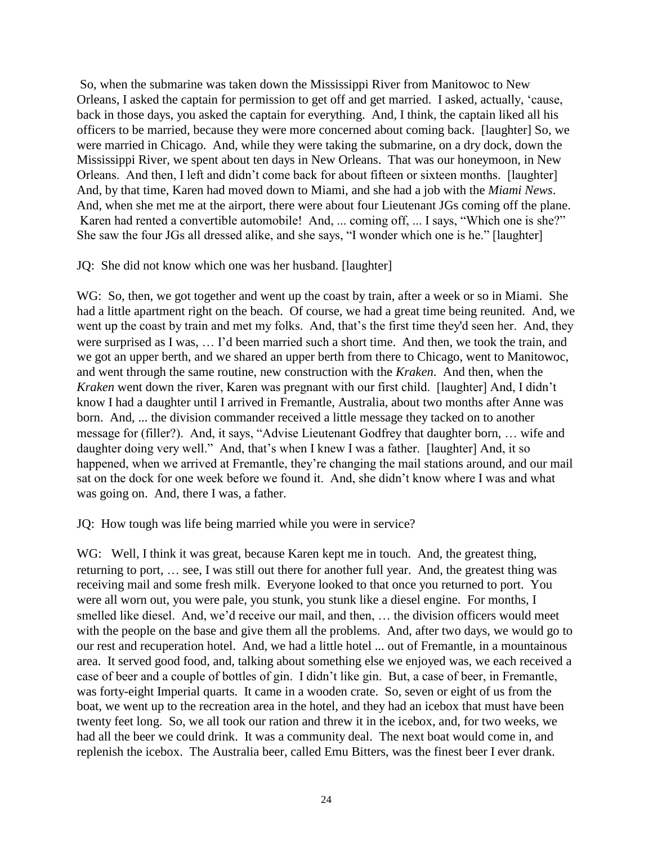So, when the submarine was taken down the Mississippi River from Manitowoc to New Orleans, I asked the captain for permission to get off and get married. I asked, actually, 'cause, back in those days, you asked the captain for everything. And, I think, the captain liked all his officers to be married, because they were more concerned about coming back. [laughter] So, we were married in Chicago. And, while they were taking the submarine, on a dry dock, down the Mississippi River, we spent about ten days in New Orleans. That was our honeymoon, in New Orleans. And then, I left and didn't come back for about fifteen or sixteen months. [laughter] And, by that time, Karen had moved down to Miami, and she had a job with the *Miami News*. And, when she met me at the airport, there were about four Lieutenant JGs coming off the plane. Karen had rented a convertible automobile! And, ... coming off, ... I says, "Which one is she?" She saw the four JGs all dressed alike, and she says, "I wonder which one is he." [laughter]

### JQ: She did not know which one was her husband. [laughter]

WG: So, then, we got together and went up the coast by train, after a week or so in Miami. She had a little apartment right on the beach. Of course, we had a great time being reunited. And, we went up the coast by train and met my folks. And, that's the first time they'd seen her. And, they were surprised as I was, ... I'd been married such a short time. And then, we took the train, and we got an upper berth, and we shared an upper berth from there to Chicago, went to Manitowoc, and went through the same routine, new construction with the *Kraken*. And then, when the *Kraken* went down the river, Karen was pregnant with our first child. [laughter] And, I didn't know I had a daughter until I arrived in Fremantle, Australia, about two months after Anne was born. And, ... the division commander received a little message they tacked on to another message for (filler?). And, it says, "Advise Lieutenant Godfrey that daughter born, ... wife and daughter doing very well." And, that's when I knew I was a father. [laughter] And, it so happened, when we arrived at Fremantle, they're changing the mail stations around, and our mail sat on the dock for one week before we found it. And, she didn't know where I was and what was going on. And, there I was, a father.

JQ: How tough was life being married while you were in service?

WG: Well, I think it was great, because Karen kept me in touch. And, the greatest thing, returning to port, ... see, I was still out there for another full year. And, the greatest thing was receiving mail and some fresh milk. Everyone looked to that once you returned to port. You were all worn out, you were pale, you stunk, you stunk like a diesel engine. For months, I smelled like diesel. And, we'd receive our mail, and then, ... the division officers would meet with the people on the base and give them all the problems. And, after two days, we would go to our rest and recuperation hotel. And, we had a little hotel ... out of Fremantle, in a mountainous area. It served good food, and, talking about something else we enjoyed was, we each received a case of beer and a couple of bottles of gin. I didn't like gin. But, a case of beer, in Fremantle, was forty-eight Imperial quarts. It came in a wooden crate. So, seven or eight of us from the boat, we went up to the recreation area in the hotel, and they had an icebox that must have been twenty feet long. So, we all took our ration and threw it in the icebox, and, for two weeks, we had all the beer we could drink. It was a community deal. The next boat would come in, and replenish the icebox. The Australia beer, called Emu Bitters, was the finest beer I ever drank.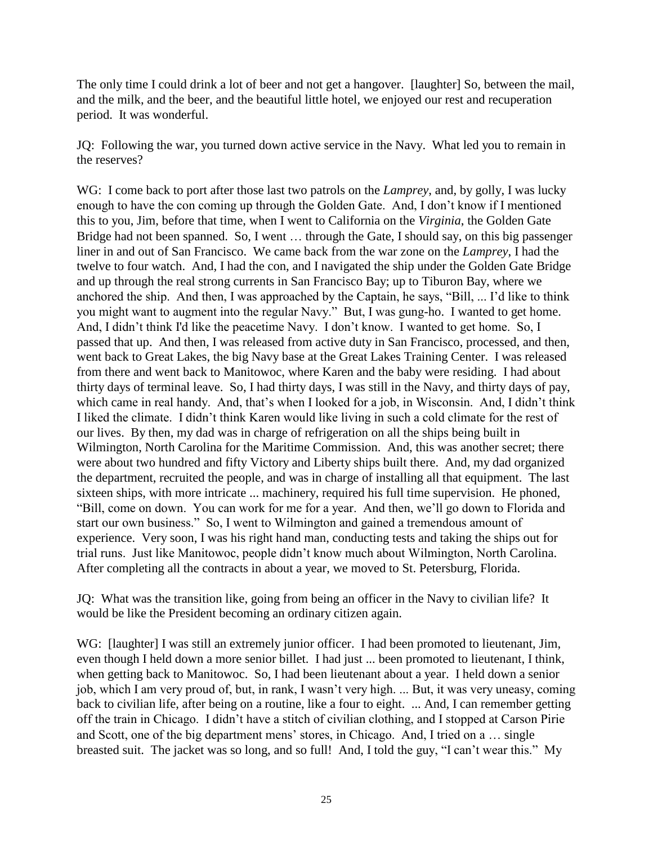The only time I could drink a lot of beer and not get a hangover. [laughter] So, between the mail, and the milk, and the beer, and the beautiful little hotel, we enjoyed our rest and recuperation period. It was wonderful.

JQ: Following the war, you turned down active service in the Navy. What led you to remain in the reserves?

WG: I come back to port after those last two patrols on the *Lamprey*, and, by golly, I was lucky enough to have the con coming up through the Golden Gate. And, I don't know if I mentioned this to you, Jim, before that time, when I went to California on the *Virginia*, the Golden Gate Bridge had not been spanned. So, I went  $\dots$  through the Gate, I should say, on this big passenger liner in and out of San Francisco. We came back from the war zone on the *Lamprey*, I had the twelve to four watch. And, I had the con, and I navigated the ship under the Golden Gate Bridge and up through the real strong currents in San Francisco Bay; up to Tiburon Bay, where we anchored the ship. And then, I was approached by the Captain, he says, "Bill, ... I'd like to think you might want to augment into the regular Navy." But, I was gung-ho. I wanted to get home. And, I didn't think I'd like the peacetime Navy. I don't know. I wanted to get home. So, I passed that up. And then, I was released from active duty in San Francisco, processed, and then, went back to Great Lakes, the big Navy base at the Great Lakes Training Center. I was released from there and went back to Manitowoc, where Karen and the baby were residing. I had about thirty days of terminal leave. So, I had thirty days, I was still in the Navy, and thirty days of pay, which came in real handy. And, that's when I looked for a job, in Wisconsin. And, I didn't think I liked the climate. I didn't think Karen would like living in such a cold climate for the rest of our lives. By then, my dad was in charge of refrigeration on all the ships being built in Wilmington, North Carolina for the Maritime Commission. And, this was another secret; there were about two hundred and fifty Victory and Liberty ships built there. And, my dad organized the department, recruited the people, and was in charge of installing all that equipment. The last sixteen ships, with more intricate ... machinery, required his full time supervision. He phoned, "Bill, come on down. You can work for me for a year. And then, we'll go down to Florida and start our own business." So, I went to Wilmington and gained a tremendous amount of experience. Very soon, I was his right hand man, conducting tests and taking the ships out for trial runs. Just like Manitowoc, people didn't know much about Wilmington, North Carolina. After completing all the contracts in about a year, we moved to St. Petersburg, Florida.

JQ: What was the transition like, going from being an officer in the Navy to civilian life? It would be like the President becoming an ordinary citizen again.

WG: [laughter] I was still an extremely junior officer. I had been promoted to lieutenant, Jim, even though I held down a more senior billet. I had just ... been promoted to lieutenant, I think, when getting back to Manitowoc. So, I had been lieutenant about a year. I held down a senior job, which I am very proud of, but, in rank, I wasn't very high. ... But, it was very uneasy, coming back to civilian life, after being on a routine, like a four to eight. ... And, I can remember getting off the train in Chicago. I didn't have a stitch of civilian clothing, and I stopped at Carson Pirie and Scott, one of the big department mens' stores, in Chicago. And, I tried on a ... single breasted suit. The jacket was so long, and so full! And, I told the guy, "I can't wear this." My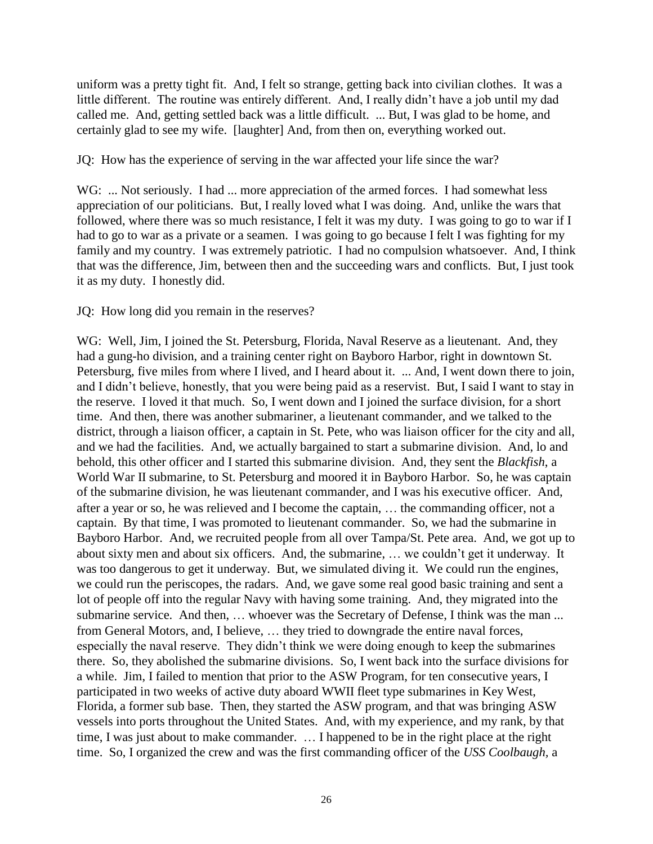uniform was a pretty tight fit. And, I felt so strange, getting back into civilian clothes. It was a little different. The routine was entirely different. And, I really didn't have a job until my dad called me. And, getting settled back was a little difficult. ... But, I was glad to be home, and certainly glad to see my wife. [laughter] And, from then on, everything worked out.

JQ: How has the experience of serving in the war affected your life since the war?

WG: ... Not seriously. I had ... more appreciation of the armed forces. I had somewhat less appreciation of our politicians. But, I really loved what I was doing. And, unlike the wars that followed, where there was so much resistance, I felt it was my duty. I was going to go to war if I had to go to war as a private or a seamen. I was going to go because I felt I was fighting for my family and my country. I was extremely patriotic. I had no compulsion whatsoever. And, I think that was the difference, Jim, between then and the succeeding wars and conflicts. But, I just took it as my duty. I honestly did.

JQ: How long did you remain in the reserves?

WG: Well, Jim, I joined the St. Petersburg, Florida, Naval Reserve as a lieutenant. And, they had a gung-ho division, and a training center right on Bayboro Harbor, right in downtown St. Petersburg, five miles from where I lived, and I heard about it. ... And, I went down there to join, and I didn't believe, honestly, that you were being paid as a reservist. But, I said I want to stay in the reserve. I loved it that much. So, I went down and I joined the surface division, for a short time. And then, there was another submariner, a lieutenant commander, and we talked to the district, through a liaison officer, a captain in St. Pete, who was liaison officer for the city and all, and we had the facilities. And, we actually bargained to start a submarine division. And, lo and behold, this other officer and I started this submarine division. And, they sent the *Blackfish*, a World War II submarine, to St. Petersburg and moored it in Bayboro Harbor. So, he was captain of the submarine division, he was lieutenant commander, and I was his executive officer. And, after a year or so, he was relieved and I become the captain, ... the commanding officer, not a captain. By that time, I was promoted to lieutenant commander. So, we had the submarine in Bayboro Harbor. And, we recruited people from all over Tampa/St. Pete area. And, we got up to about sixty men and about six officers. And, the submarine, ... we couldn't get it underway. It was too dangerous to get it underway. But, we simulated diving it. We could run the engines, we could run the periscopes, the radars. And, we gave some real good basic training and sent a lot of people off into the regular Navy with having some training. And, they migrated into the submarine service. And then, ... whoever was the Secretary of Defense, I think was the man ... from General Motors, and, I believe, ... they tried to downgrade the entire naval forces, especially the naval reserve. They didn't think we were doing enough to keep the submarines there. So, they abolished the submarine divisions. So, I went back into the surface divisions for a while. Jim, I failed to mention that prior to the ASW Program, for ten consecutive years, I participated in two weeks of active duty aboard WWII fleet type submarines in Key West, Florida, a former sub base. Then, they started the ASW program, and that was bringing ASW vessels into ports throughout the United States. And, with my experience, and my rank, by that time, I was just about to make commander. ... I happened to be in the right place at the right time. So, I organized the crew and was the first commanding officer of the *USS Coolbaugh,* a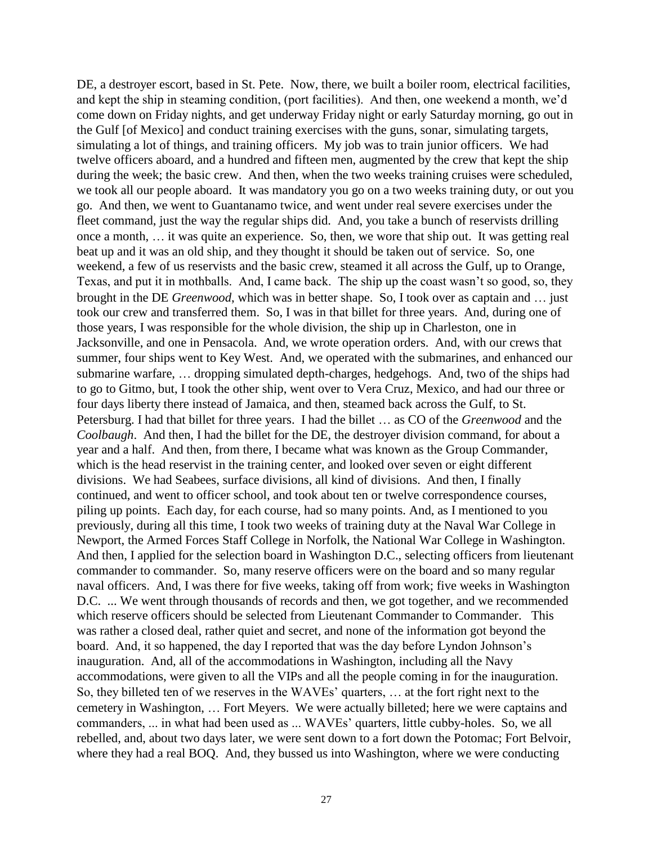DE, a destroyer escort, based in St. Pete. Now, there, we built a boiler room, electrical facilities, and kept the ship in steaming condition, (port facilities). And then, one weekend a month, we'd come down on Friday nights, and get underway Friday night or early Saturday morning, go out in the Gulf [of Mexico] and conduct training exercises with the guns, sonar, simulating targets, simulating a lot of things, and training officers. My job was to train junior officers. We had twelve officers aboard, and a hundred and fifteen men, augmented by the crew that kept the ship during the week; the basic crew. And then, when the two weeks training cruises were scheduled, we took all our people aboard. It was mandatory you go on a two weeks training duty, or out you go. And then, we went to Guantanamo twice, and went under real severe exercises under the fleet command, just the way the regular ships did. And, you take a bunch of reservists drilling once a month, ... it was quite an experience. So, then, we wore that ship out. It was getting real beat up and it was an old ship, and they thought it should be taken out of service. So, one weekend, a few of us reservists and the basic crew, steamed it all across the Gulf, up to Orange, Texas, and put it in mothballs. And, I came back. The ship up the coast wasn't so good, so, they brought in the DE *Greenwood*, which was in better shape. So, I took over as captain and ... just took our crew and transferred them. So, I was in that billet for three years. And, during one of those years, I was responsible for the whole division, the ship up in Charleston, one in Jacksonville, and one in Pensacola. And, we wrote operation orders. And, with our crews that summer, four ships went to Key West. And, we operated with the submarines, and enhanced our submarine warfare, ... dropping simulated depth-charges, hedgehogs. And, two of the ships had to go to Gitmo, but, I took the other ship, went over to Vera Cruz, Mexico, and had our three or four days liberty there instead of Jamaica, and then, steamed back across the Gulf, to St. Petersburg. I had that billet for three years. I had the billet ... as CO of the *Greenwood* and the *Coolbaugh*. And then, I had the billet for the DE, the destroyer division command, for about a year and a half. And then, from there, I became what was known as the Group Commander, which is the head reservist in the training center, and looked over seven or eight different divisions. We had Seabees, surface divisions, all kind of divisions. And then, I finally continued, and went to officer school, and took about ten or twelve correspondence courses, piling up points. Each day, for each course, had so many points. And, as I mentioned to you previously, during all this time, I took two weeks of training duty at the Naval War College in Newport, the Armed Forces Staff College in Norfolk, the National War College in Washington. And then, I applied for the selection board in Washington D.C., selecting officers from lieutenant commander to commander. So, many reserve officers were on the board and so many regular naval officers. And, I was there for five weeks, taking off from work; five weeks in Washington D.C. ... We went through thousands of records and then, we got together, and we recommended which reserve officers should be selected from Lieutenant Commander to Commander. This was rather a closed deal, rather quiet and secret, and none of the information got beyond the board. And, it so happened, the day I reported that was the day before Lyndon Johnson's inauguration. And, all of the accommodations in Washington, including all the Navy accommodations, were given to all the VIPs and all the people coming in for the inauguration. So, they billeted ten of we reserves in the WAVEs' quarters, ... at the fort right next to the cemetery in Washington, ... Fort Meyers. We were actually billeted; here we were captains and commanders, ... in what had been used as ... WAVEs' quarters, little cubby-holes. So, we all rebelled, and, about two days later, we were sent down to a fort down the Potomac; Fort Belvoir, where they had a real BOQ. And, they bussed us into Washington, where we were conducting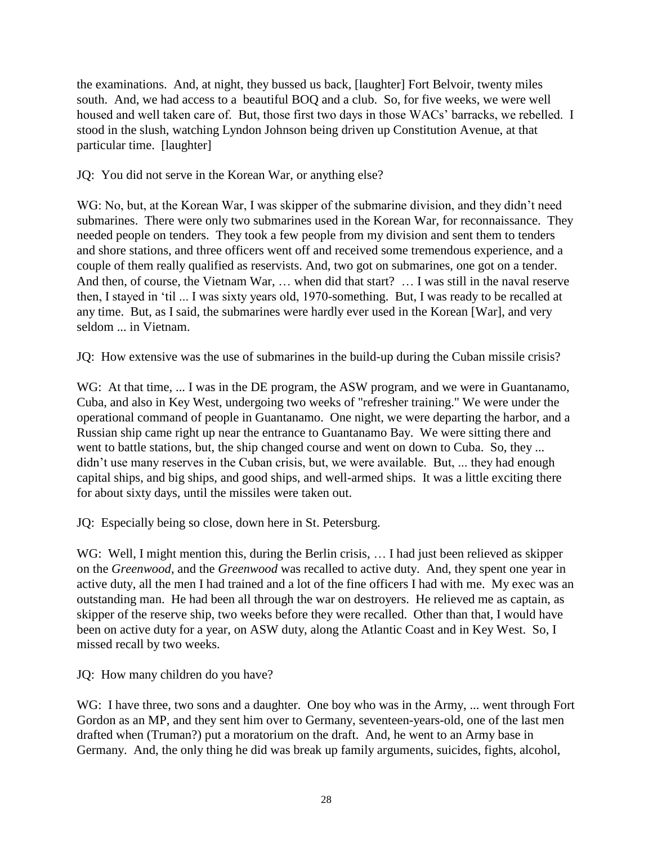the examinations. And, at night, they bussed us back, [laughter] Fort Belvoir, twenty miles south. And, we had access to a beautiful BOQ and a club. So, for five weeks, we were well housed and well taken care of. But, those first two days in those WACs' barracks, we rebelled. I stood in the slush, watching Lyndon Johnson being driven up Constitution Avenue, at that particular time. [laughter]

JQ: You did not serve in the Korean War, or anything else?

WG: No, but, at the Korean War, I was skipper of the submarine division, and they didn't need submarines. There were only two submarines used in the Korean War, for reconnaissance. They needed people on tenders. They took a few people from my division and sent them to tenders and shore stations, and three officers went off and received some tremendous experience, and a couple of them really qualified as reservists. And, two got on submarines, one got on a tender. And then, of course, the Vietnam War,  $\dots$  when did that start?  $\dots$  I was still in the naval reserve then, I stayed in 'til ... I was sixty years old, 1970-something. But, I was ready to be recalled at any time. But, as I said, the submarines were hardly ever used in the Korean [War], and very seldom ... in Vietnam.

JQ: How extensive was the use of submarines in the build-up during the Cuban missile crisis?

WG: At that time, ... I was in the DE program, the ASW program, and we were in Guantanamo, Cuba, and also in Key West, undergoing two weeks of "refresher training." We were under the operational command of people in Guantanamo. One night, we were departing the harbor, and a Russian ship came right up near the entrance to Guantanamo Bay. We were sitting there and went to battle stations, but, the ship changed course and went on down to Cuba. So, they ... didn't use many reserves in the Cuban crisis, but, we were available. But, ... they had enough capital ships, and big ships, and good ships, and well-armed ships. It was a little exciting there for about sixty days, until the missiles were taken out.

JQ: Especially being so close, down here in St. Petersburg.

WG: Well, I might mention this, during the Berlin crisis, ... I had just been relieved as skipper on the *Greenwood*, and the *Greenwood* was recalled to active duty. And, they spent one year in active duty, all the men I had trained and a lot of the fine officers I had with me. My exec was an outstanding man. He had been all through the war on destroyers. He relieved me as captain, as skipper of the reserve ship, two weeks before they were recalled. Other than that, I would have been on active duty for a year, on ASW duty, along the Atlantic Coast and in Key West. So, I missed recall by two weeks.

JQ: How many children do you have?

WG: I have three, two sons and a daughter. One boy who was in the Army, ... went through Fort Gordon as an MP, and they sent him over to Germany, seventeen-years-old, one of the last men drafted when (Truman?) put a moratorium on the draft. And, he went to an Army base in Germany. And, the only thing he did was break up family arguments, suicides, fights, alcohol,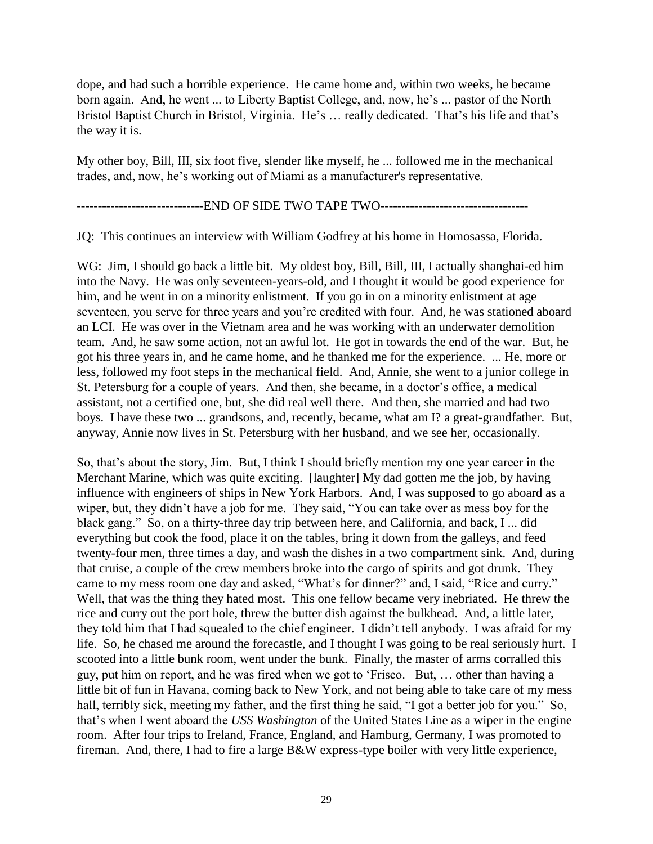dope, and had such a horrible experience. He came home and, within two weeks, he became born again. And, he went ... to Liberty Baptist College, and, now, he's ... pastor of the North Bristol Baptist Church in Bristol, Virginia. He's ... really dedicated. That's his life and that's the way it is.

My other boy, Bill, III, six foot five, slender like myself, he ... followed me in the mechanical trades, and, now, he's working out of Miami as a manufacturer's representative.

---------------------END OF SIDE TWO TAPE TWO---------------------------

JQ: This continues an interview with William Godfrey at his home in Homosassa, Florida.

WG: Jim, I should go back a little bit. My oldest boy, Bill, Bill, III, I actually shanghai-ed him into the Navy. He was only seventeen-years-old, and I thought it would be good experience for him, and he went in on a minority enlistment. If you go in on a minority enlistment at age seventeen, you serve for three years and you're credited with four. And, he was stationed aboard an LCI. He was over in the Vietnam area and he was working with an underwater demolition team. And, he saw some action, not an awful lot. He got in towards the end of the war. But, he got his three years in, and he came home, and he thanked me for the experience. ... He, more or less, followed my foot steps in the mechanical field. And, Annie, she went to a junior college in St. Petersburg for a couple of years. And then, she became, in a doctor's office, a medical assistant, not a certified one, but, she did real well there. And then, she married and had two boys. I have these two ... grandsons, and, recently, became, what am I? a great-grandfather. But, anyway, Annie now lives in St. Petersburg with her husband, and we see her, occasionally.

So, that's about the story, Jim. But, I think I should briefly mention my one year career in the Merchant Marine, which was quite exciting. [laughter] My dad gotten me the job, by having influence with engineers of ships in New York Harbors. And, I was supposed to go aboard as a wiper, but, they didn't have a job for me. They said, "You can take over as mess boy for the black gang." So, on a thirty-three day trip between here, and California, and back, I ... did everything but cook the food, place it on the tables, bring it down from the galleys, and feed twenty-four men, three times a day, and wash the dishes in a two compartment sink. And, during that cruise, a couple of the crew members broke into the cargo of spirits and got drunk. They came to my mess room one day and asked, "What's for dinner?" and, I said, "Rice and curry." Well, that was the thing they hated most. This one fellow became very inebriated. He threw the rice and curry out the port hole, threw the butter dish against the bulkhead. And, a little later, they told him that I had squealed to the chief engineer. I didn't tell anybody. I was afraid for my life. So, he chased me around the forecastle, and I thought I was going to be real seriously hurt. I scooted into a little bunk room, went under the bunk. Finally, the master of arms corralled this guy, put him on report, and he was fired when we got to 'Frisco. But, ... other than having a little bit of fun in Havana, coming back to New York, and not being able to take care of my mess hall, terribly sick, meeting my father, and the first thing he said, "I got a better job for you." So, that's when I went aboard the *USS Washington* of the United States Line as a wiper in the engine room. After four trips to Ireland, France, England, and Hamburg, Germany, I was promoted to fireman. And, there, I had to fire a large B&W express-type boiler with very little experience,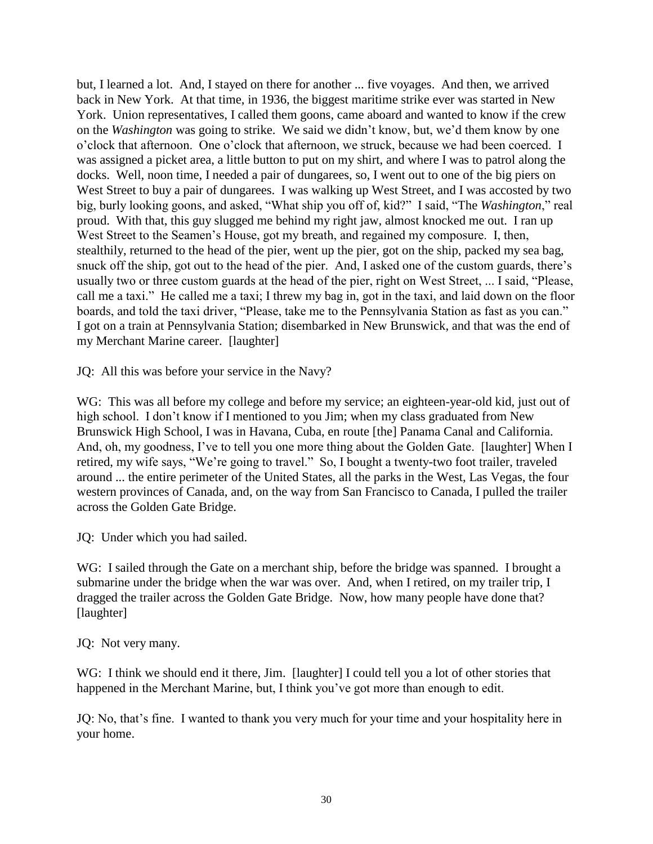but, I learned a lot. And, I stayed on there for another ... five voyages. And then, we arrived back in New York. At that time, in 1936, the biggest maritime strike ever was started in New York. Union representatives, I called them goons, came aboard and wanted to know if the crew on the *Washington* was going to strike. We said we didn't know, but, we'd them know by one o'clock that afternoon. One o'clock that afternoon, we struck, because we had been coerced. I was assigned a picket area, a little button to put on my shirt, and where I was to patrol along the docks. Well, noon time, I needed a pair of dungarees, so, I went out to one of the big piers on West Street to buy a pair of dungarees. I was walking up West Street, and I was accosted by two big, burly looking goons, and asked, "What ship you off of, kid?" I said, "The *Washington*," real proud. With that, this guy slugged me behind my right jaw, almost knocked me out. I ran up West Street to the Seamen's House, got my breath, and regained my composure. I, then, stealthily, returned to the head of the pier, went up the pier, got on the ship, packed my sea bag, snuck off the ship, got out to the head of the pier. And, I asked one of the custom guards, there's usually two or three custom guards at the head of the pier, right on West Street, ... I said, "Please, call me a taxi." He called me a taxi; I threw my bag in, got in the taxi, and laid down on the floor boards, and told the taxi driver, "Please, take me to the Pennsylvania Station as fast as you can." I got on a train at Pennsylvania Station; disembarked in New Brunswick, and that was the end of my Merchant Marine career. [laughter]

JQ: All this was before your service in the Navy?

WG: This was all before my college and before my service; an eighteen-year-old kid, just out of high school. I don't know if I mentioned to you Jim; when my class graduated from New Brunswick High School, I was in Havana, Cuba, en route [the] Panama Canal and California. And, oh, my goodness, I've to tell you one more thing about the Golden Gate. [laughter] When I retired, my wife says, "We're going to travel." So, I bought a twenty-two foot trailer, traveled around ... the entire perimeter of the United States, all the parks in the West, Las Vegas, the four western provinces of Canada, and, on the way from San Francisco to Canada, I pulled the trailer across the Golden Gate Bridge.

JQ: Under which you had sailed.

WG: I sailed through the Gate on a merchant ship, before the bridge was spanned. I brought a submarine under the bridge when the war was over. And, when I retired, on my trailer trip, I dragged the trailer across the Golden Gate Bridge. Now, how many people have done that? [laughter]

JQ: Not very many.

WG: I think we should end it there, Jim. [laughter] I could tell you a lot of other stories that happened in the Merchant Marine, but, I think you've got more than enough to edit.

JQ: No, that's fine. I wanted to thank you very much for your time and your hospitality here in your home.